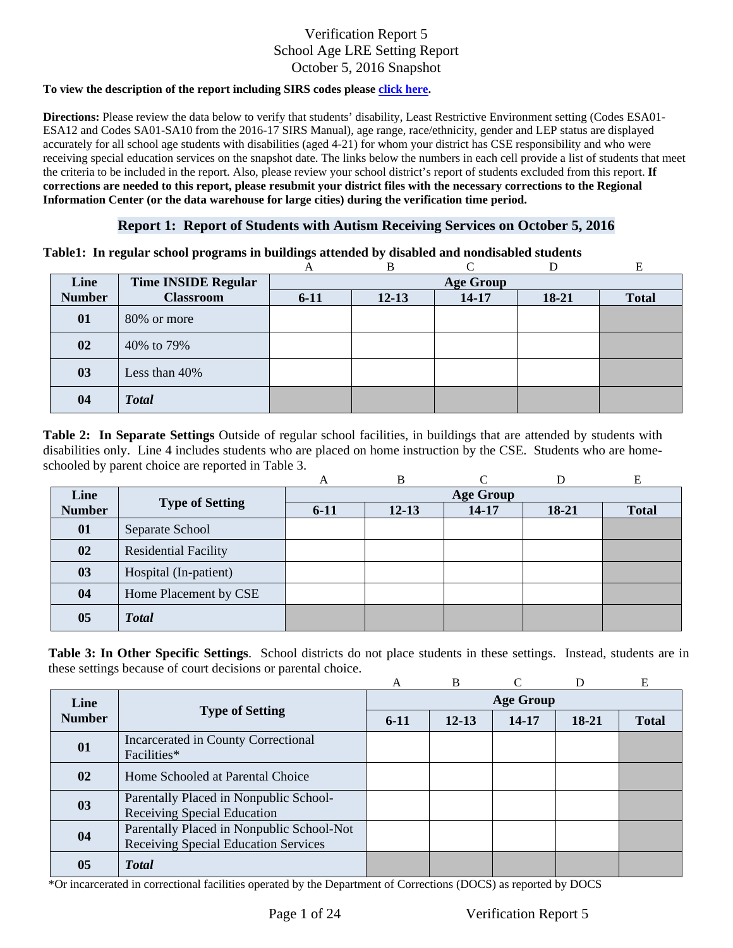#### **To view the description of the report including SIRS codes please click here.**

Information Center (or the data warehouse for large cities) during the verification time period. **Directions:** Please review the data below to verify that students' disability, Least Restrictive Environment setting (Codes ESA01- ESA12 and Codes SA01-SA10 from the 2016-17 SIRS Manual), age range, race/ethnicity, gender and LEP status are displayed accurately for all school age students with disabilities (aged 4-21) for whom your district has CSE responsibility and who were receiving special education services on the snapshot date. The links below the numbers in each cell provide a list of students that meet the criteria to be included in the report. Also, please review your school district's report of students excluded from this report. **If corrections are needed to this report, please resubmit your district files with the necessary corrections to the Regional** 

### **Report 1: Report of Students with Autism Receiving Services on October 5, 2016**

#### **Table1: In regular school programs in buildings attended by disabled and nondisabled students**

|               |                            | A                | В         |       |       |              |  |  |
|---------------|----------------------------|------------------|-----------|-------|-------|--------------|--|--|
| Line          | <b>Time INSIDE Regular</b> | <b>Age Group</b> |           |       |       |              |  |  |
| <b>Number</b> | <b>Classroom</b>           | $6 - 11$         | $12 - 13$ | 14-17 | 18-21 | <b>Total</b> |  |  |
| 01            | 80% or more                |                  |           |       |       |              |  |  |
| 02            | 40% to 79%                 |                  |           |       |       |              |  |  |
| 03            | Less than 40%              |                  |           |       |       |              |  |  |
| 04            | <b>Total</b>               |                  |           |       |       |              |  |  |

schooled by parent choice are reported in Table 3.<br>
A B C D E **Table 2: In Separate Settings** Outside of regular school facilities, in buildings that are attended by students with disabilities only. Line 4 includes students who are placed on home instruction by the CSE. Students who are home-

|               |                             | A                | B         | ⌒     |         | E            |  |  |
|---------------|-----------------------------|------------------|-----------|-------|---------|--------------|--|--|
| Line          |                             | <b>Age Group</b> |           |       |         |              |  |  |
| <b>Number</b> | <b>Type of Setting</b>      | $6-11$           | $12 - 13$ | 14-17 | $18-21$ | <b>Total</b> |  |  |
| 01            | Separate School             |                  |           |       |         |              |  |  |
| 02            | <b>Residential Facility</b> |                  |           |       |         |              |  |  |
| 03            | Hospital (In-patient)       |                  |           |       |         |              |  |  |
| 04            | Home Placement by CSE       |                  |           |       |         |              |  |  |
| 05            | <b>Total</b>                |                  |           |       |         |              |  |  |

**Table 3: In Other Specific Settings**. School districts do not place students in these settings. Instead, students are in these settings because of court decisions or parental choice.

|                |                                                                                   | A                | B         |       |       | E            |  |  |
|----------------|-----------------------------------------------------------------------------------|------------------|-----------|-------|-------|--------------|--|--|
| Line           |                                                                                   | <b>Age Group</b> |           |       |       |              |  |  |
| <b>Number</b>  | <b>Type of Setting</b>                                                            | $6-11$           | $12 - 13$ | 14-17 | 18-21 | <b>Total</b> |  |  |
| 01             | Incarcerated in County Correctional<br>Facilities*                                |                  |           |       |       |              |  |  |
| 02             | Home Schooled at Parental Choice                                                  |                  |           |       |       |              |  |  |
| 03             | Parentally Placed in Nonpublic School-<br><b>Receiving Special Education</b>      |                  |           |       |       |              |  |  |
| 04             | Parentally Placed in Nonpublic School-Not<br>Receiving Special Education Services |                  |           |       |       |              |  |  |
| 0 <sub>5</sub> | <b>Total</b>                                                                      |                  |           |       |       |              |  |  |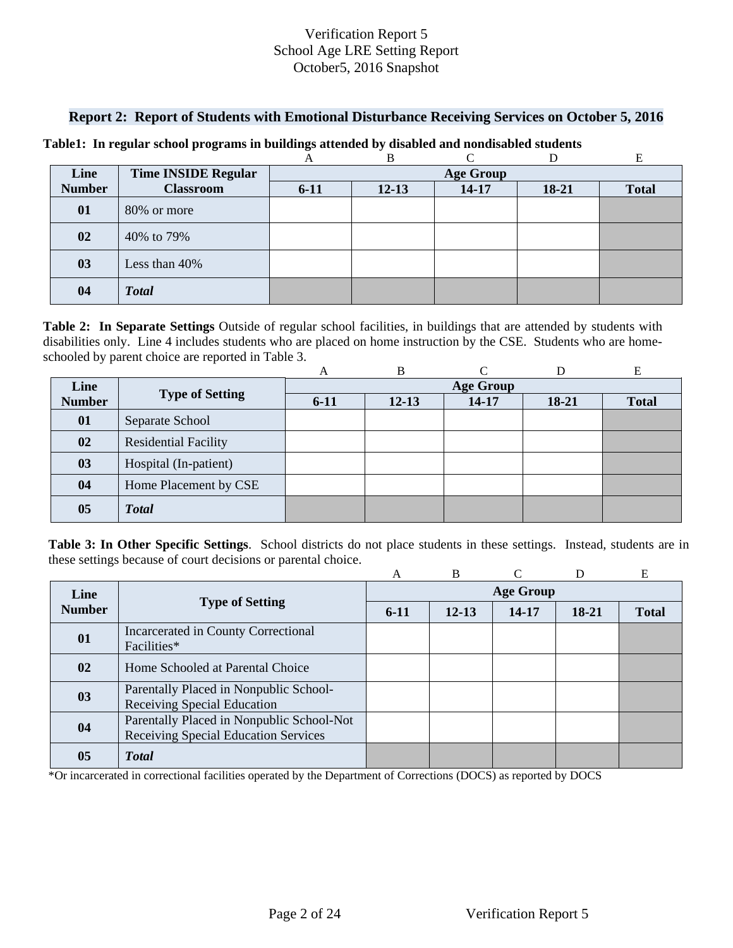### **Report 2: Report of Students with Emotional Disturbance Receiving Services on October 5, 2016**

|               |                            |                  | В         |           |       | E            |  |  |
|---------------|----------------------------|------------------|-----------|-----------|-------|--------------|--|--|
| Line          | <b>Time INSIDE Regular</b> | <b>Age Group</b> |           |           |       |              |  |  |
| <b>Number</b> | <b>Classroom</b>           | $6 - 11$         | $12 - 13$ | $14 - 17$ | 18-21 | <b>Total</b> |  |  |
| 01            | 80% or more                |                  |           |           |       |              |  |  |
| 02            | 40% to 79%                 |                  |           |           |       |              |  |  |
| 03            | Less than 40%              |                  |           |           |       |              |  |  |
| 04            | <b>Total</b>               |                  |           |           |       |              |  |  |

#### **Table1: In regular school programs in buildings attended by disabled and nondisabled students**

 schooled by parent choice are reported in Table 3. **Table 2: In Separate Settings** Outside of regular school facilities, in buildings that are attended by students with disabilities only. Line 4 includes students who are placed on home instruction by the CSE. Students who are home-

|               |                             | А                | B         |       |       | E            |  |  |
|---------------|-----------------------------|------------------|-----------|-------|-------|--------------|--|--|
| Line          | <b>Type of Setting</b>      | <b>Age Group</b> |           |       |       |              |  |  |
| <b>Number</b> |                             | $6 - 11$         | $12 - 13$ | 14-17 | 18-21 | <b>Total</b> |  |  |
| 01            | Separate School             |                  |           |       |       |              |  |  |
| 02            | <b>Residential Facility</b> |                  |           |       |       |              |  |  |
| 03            | Hospital (In-patient)       |                  |           |       |       |              |  |  |
| 04            | Home Placement by CSE       |                  |           |       |       |              |  |  |
| 05            | <b>Total</b>                |                  |           |       |       |              |  |  |

**Table 3: In Other Specific Settings**. School districts do not place students in these settings. Instead, students are in these settings because of court decisions or parental choice.

|               |                                                                                   | A                | B         |       | D     | E            |  |  |
|---------------|-----------------------------------------------------------------------------------|------------------|-----------|-------|-------|--------------|--|--|
| Line          | <b>Type of Setting</b>                                                            | <b>Age Group</b> |           |       |       |              |  |  |
| <b>Number</b> |                                                                                   | $6-11$           | $12 - 13$ | 14-17 | 18-21 | <b>Total</b> |  |  |
| 01            | Incarcerated in County Correctional<br>Facilities*                                |                  |           |       |       |              |  |  |
| $\mathbf{02}$ | Home Schooled at Parental Choice                                                  |                  |           |       |       |              |  |  |
| 03            | Parentally Placed in Nonpublic School-<br>Receiving Special Education             |                  |           |       |       |              |  |  |
| 04            | Parentally Placed in Nonpublic School-Not<br>Receiving Special Education Services |                  |           |       |       |              |  |  |
| 05            | <b>T</b> otal                                                                     |                  |           |       |       |              |  |  |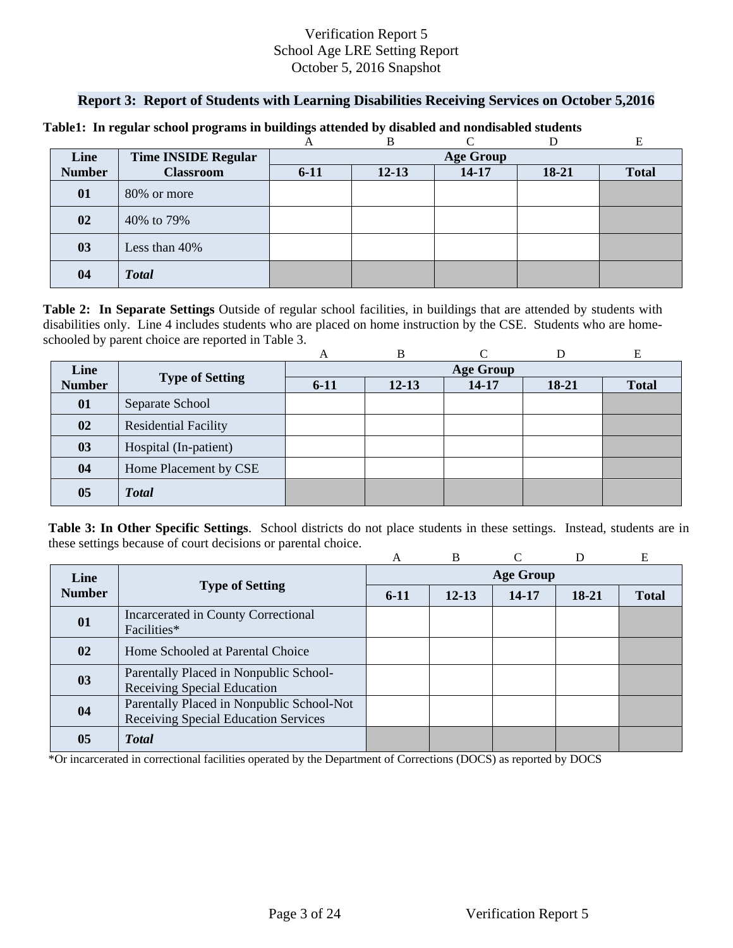## **Report 3: Report of Students with Learning Disabilities Receiving Services on October 5,2016**

|               |                            |                  | B         | ⌒         |       |              |  |  |
|---------------|----------------------------|------------------|-----------|-----------|-------|--------------|--|--|
| Line          | <b>Time INSIDE Regular</b> | <b>Age Group</b> |           |           |       |              |  |  |
| <b>Number</b> | <b>Classroom</b>           | $6 - 11$         | $12 - 13$ | $14 - 17$ | 18-21 | <b>Total</b> |  |  |
| 01            | 80% or more                |                  |           |           |       |              |  |  |
| 02            | 40% to 79%                 |                  |           |           |       |              |  |  |
| 03            | Less than 40%              |                  |           |           |       |              |  |  |
| 04            | <b>Total</b>               |                  |           |           |       |              |  |  |

#### **Table1: In regular school programs in buildings attended by disabled and nondisabled students**

schooled by parent choice are reported in Table 3.<br>
A B C D E **Table 2: In Separate Settings** Outside of regular school facilities, in buildings that are attended by students with disabilities only. Line 4 includes students who are placed on home instruction by the CSE. Students who are home-

|                |                             | A                | B         |       |         | Е            |  |  |
|----------------|-----------------------------|------------------|-----------|-------|---------|--------------|--|--|
| Line           |                             | <b>Age Group</b> |           |       |         |              |  |  |
| <b>Number</b>  | <b>Type of Setting</b>      | $6-11$           | $12 - 13$ | 14-17 | $18-21$ | <b>Total</b> |  |  |
| 01             | Separate School             |                  |           |       |         |              |  |  |
| 02             | <b>Residential Facility</b> |                  |           |       |         |              |  |  |
| 03             | Hospital (In-patient)       |                  |           |       |         |              |  |  |
| 04             | Home Placement by CSE       |                  |           |       |         |              |  |  |
| 0 <sub>5</sub> | <b>Total</b>                |                  |           |       |         |              |  |  |

**Table 3: In Other Specific Settings**. School districts do not place students in these settings. Instead, students are in these settings because of court decisions or parental choice.

|               |                                                                                   | А                | <sub>B</sub> |       | D     | E            |  |  |
|---------------|-----------------------------------------------------------------------------------|------------------|--------------|-------|-------|--------------|--|--|
| Line          | <b>Type of Setting</b>                                                            | <b>Age Group</b> |              |       |       |              |  |  |
| <b>Number</b> |                                                                                   | $6-11$           | $12 - 13$    | 14-17 | 18-21 | <b>Total</b> |  |  |
| 01            | Incarcerated in County Correctional<br>Facilities*                                |                  |              |       |       |              |  |  |
| 02            | Home Schooled at Parental Choice                                                  |                  |              |       |       |              |  |  |
| 03            | Parentally Placed in Nonpublic School-<br>Receiving Special Education             |                  |              |       |       |              |  |  |
| 04            | Parentally Placed in Nonpublic School-Not<br>Receiving Special Education Services |                  |              |       |       |              |  |  |
| 05            | <b>T</b> otal                                                                     |                  |              |       |       |              |  |  |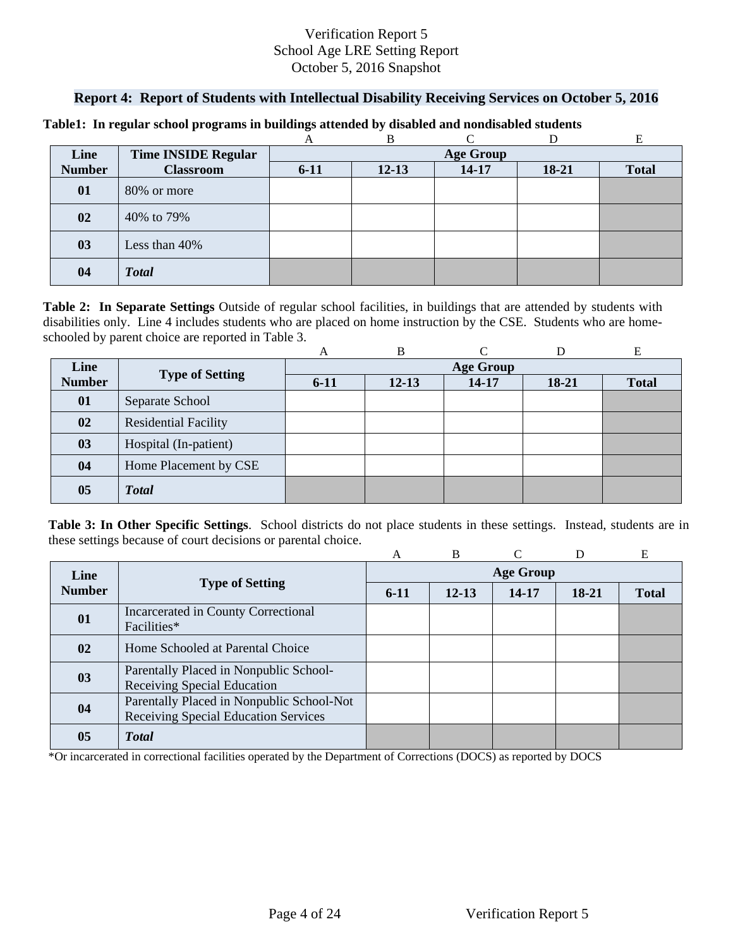## **Report 4: Report of Students with Intellectual Disability Receiving Services on October 5, 2016**

|               |                            |                  | В         |           |       |              |  |  |
|---------------|----------------------------|------------------|-----------|-----------|-------|--------------|--|--|
| Line          | <b>Time INSIDE Regular</b> | <b>Age Group</b> |           |           |       |              |  |  |
| <b>Number</b> | <b>Classroom</b>           | $6 - 11$         | $12 - 13$ | $14 - 17$ | 18-21 | <b>Total</b> |  |  |
| 01            | 80% or more                |                  |           |           |       |              |  |  |
| 02            | 40% to 79%                 |                  |           |           |       |              |  |  |
| 03            | Less than 40%              |                  |           |           |       |              |  |  |
| 04            | <b>Total</b>               |                  |           |           |       |              |  |  |

#### **Table1: In regular school programs in buildings attended by disabled and nondisabled students**

schooled by parent choice are reported in Table 3.<br>
A B C D E **Table 2: In Separate Settings** Outside of regular school facilities, in buildings that are attended by students with disabilities only. Line 4 includes students who are placed on home instruction by the CSE. Students who are home-

|                |                             | A                | B         |       |         | Е            |  |  |
|----------------|-----------------------------|------------------|-----------|-------|---------|--------------|--|--|
| Line           | <b>Type of Setting</b>      | <b>Age Group</b> |           |       |         |              |  |  |
| <b>Number</b>  |                             | $6 - 11$         | $12 - 13$ | 14-17 | $18-21$ | <b>Total</b> |  |  |
| 01             | Separate School             |                  |           |       |         |              |  |  |
| 02             | <b>Residential Facility</b> |                  |           |       |         |              |  |  |
| 03             | Hospital (In-patient)       |                  |           |       |         |              |  |  |
| 04             | Home Placement by CSE       |                  |           |       |         |              |  |  |
| 0 <sub>5</sub> | <b>Total</b>                |                  |           |       |         |              |  |  |

**Table 3: In Other Specific Settings**. School districts do not place students in these settings. Instead, students are in these settings because of court decisions or parental choice.

|               |                                                                                          | A                | B         |       | D       | E            |  |  |
|---------------|------------------------------------------------------------------------------------------|------------------|-----------|-------|---------|--------------|--|--|
| Line          | <b>Type of Setting</b>                                                                   | <b>Age Group</b> |           |       |         |              |  |  |
| <b>Number</b> |                                                                                          | $6-11$           | $12 - 13$ | 14-17 | $18-21$ | <b>Total</b> |  |  |
| 01            | Incarcerated in County Correctional<br>Facilities*                                       |                  |           |       |         |              |  |  |
| 02            | Home Schooled at Parental Choice                                                         |                  |           |       |         |              |  |  |
| 03            | Parentally Placed in Nonpublic School-<br><b>Receiving Special Education</b>             |                  |           |       |         |              |  |  |
| 04            | Parentally Placed in Nonpublic School-Not<br><b>Receiving Special Education Services</b> |                  |           |       |         |              |  |  |
| 05            | <b>Total</b>                                                                             |                  |           |       |         |              |  |  |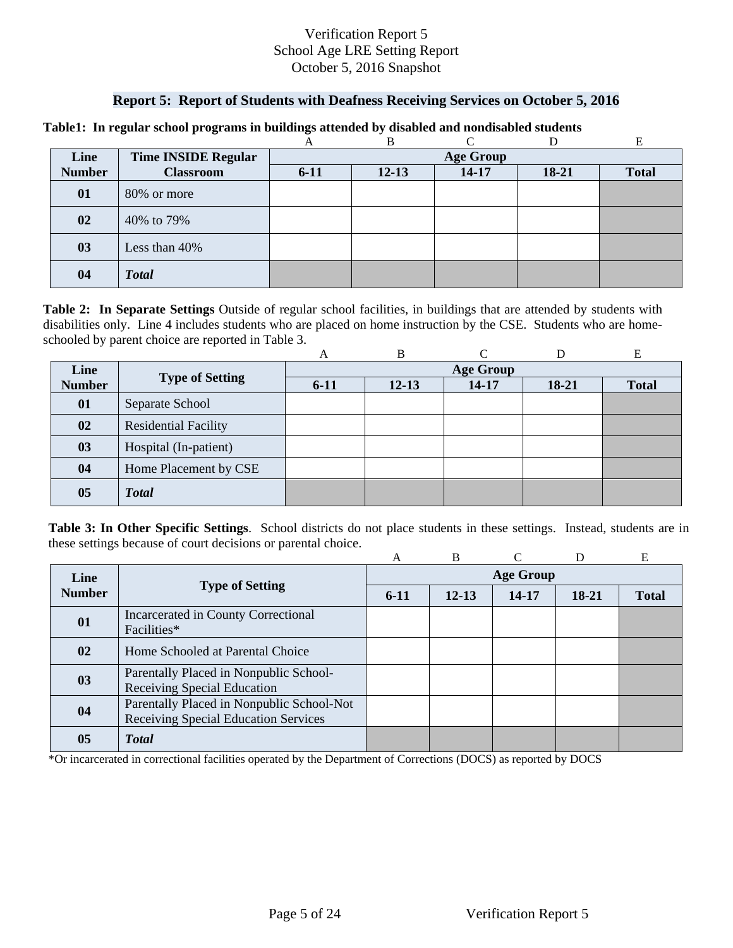### **Report 5: Report of Students with Deafness Receiving Services on October 5, 2016**

|               |                            |                  | В         |           |       | E            |  |  |
|---------------|----------------------------|------------------|-----------|-----------|-------|--------------|--|--|
| Line          | <b>Time INSIDE Regular</b> | <b>Age Group</b> |           |           |       |              |  |  |
| <b>Number</b> | <b>Classroom</b>           | $6 - 11$         | $12 - 13$ | $14 - 17$ | 18-21 | <b>Total</b> |  |  |
| 01            | 80% or more                |                  |           |           |       |              |  |  |
| 02            | 40% to 79%                 |                  |           |           |       |              |  |  |
| 03            | Less than 40%              |                  |           |           |       |              |  |  |
| 04            | <b>Total</b>               |                  |           |           |       |              |  |  |

#### **Table1: In regular school programs in buildings attended by disabled and nondisabled students**

schooled by parent choice are reported in Table 3.<br>
A B C D E **Table 2: In Separate Settings** Outside of regular school facilities, in buildings that are attended by students with disabilities only. Line 4 includes students who are placed on home instruction by the CSE. Students who are home-

|                |                             | A                | B         |       |         | Е            |  |  |
|----------------|-----------------------------|------------------|-----------|-------|---------|--------------|--|--|
| Line           |                             | <b>Age Group</b> |           |       |         |              |  |  |
| <b>Number</b>  | <b>Type of Setting</b>      | $6-11$           | $12 - 13$ | 14-17 | $18-21$ | <b>Total</b> |  |  |
| 01             | Separate School             |                  |           |       |         |              |  |  |
| 02             | <b>Residential Facility</b> |                  |           |       |         |              |  |  |
| 03             | Hospital (In-patient)       |                  |           |       |         |              |  |  |
| 04             | Home Placement by CSE       |                  |           |       |         |              |  |  |
| 0 <sub>5</sub> | <b>Total</b>                |                  |           |       |         |              |  |  |

**Table 3: In Other Specific Settings**. School districts do not place students in these settings. Instead, students are in these settings because of court decisions or parental choice.

|               |                                                                                   | А                | <sub>B</sub> |       | D     | E            |  |  |
|---------------|-----------------------------------------------------------------------------------|------------------|--------------|-------|-------|--------------|--|--|
| Line          |                                                                                   | <b>Age Group</b> |              |       |       |              |  |  |
| <b>Number</b> | <b>Type of Setting</b>                                                            | $6-11$           | $12 - 13$    | 14-17 | 18-21 | <b>Total</b> |  |  |
| 01            | Incarcerated in County Correctional<br>Facilities*                                |                  |              |       |       |              |  |  |
| 02            | Home Schooled at Parental Choice                                                  |                  |              |       |       |              |  |  |
| 03            | Parentally Placed in Nonpublic School-<br>Receiving Special Education             |                  |              |       |       |              |  |  |
| 04            | Parentally Placed in Nonpublic School-Not<br>Receiving Special Education Services |                  |              |       |       |              |  |  |
| 05            | <b>T</b> otal                                                                     |                  |              |       |       |              |  |  |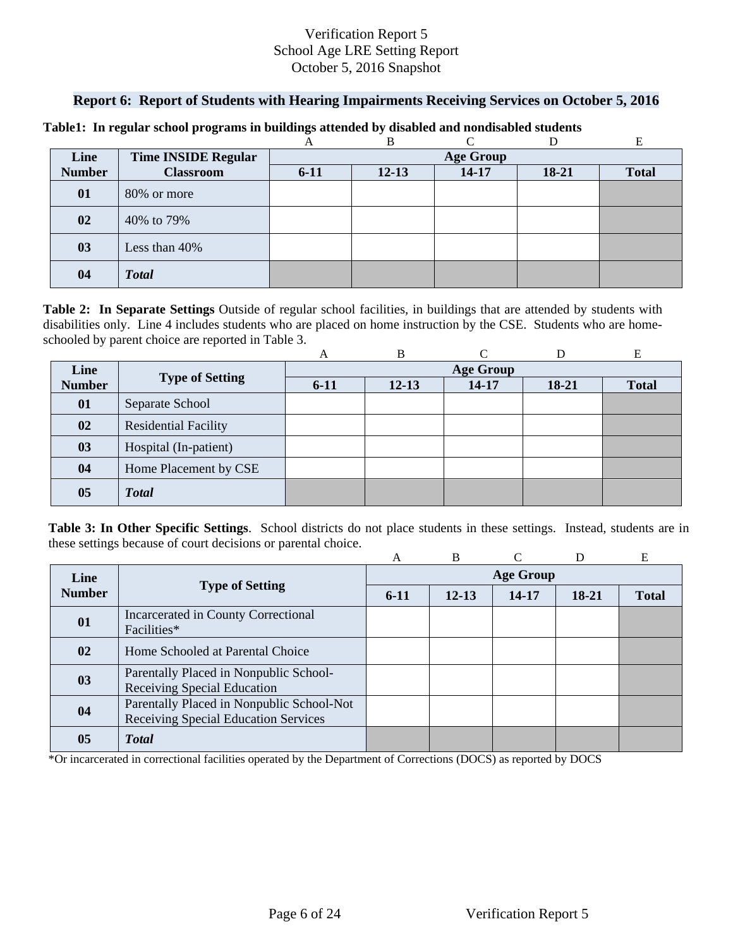### **Report 6: Report of Students with Hearing Impairments Receiving Services on October 5, 2016**

|               |                            |                  | B         | ⌒         |       |              |  |  |
|---------------|----------------------------|------------------|-----------|-----------|-------|--------------|--|--|
| Line          | <b>Time INSIDE Regular</b> | <b>Age Group</b> |           |           |       |              |  |  |
| <b>Number</b> | <b>Classroom</b>           | $6 - 11$         | $12 - 13$ | $14 - 17$ | 18-21 | <b>Total</b> |  |  |
| 01            | 80% or more                |                  |           |           |       |              |  |  |
| 02            | 40% to 79%                 |                  |           |           |       |              |  |  |
| 03            | Less than 40%              |                  |           |           |       |              |  |  |
| 04            | <b>Total</b>               |                  |           |           |       |              |  |  |

#### **Table1: In regular school programs in buildings attended by disabled and nondisabled students**

schooled by parent choice are reported in Table 3.<br>
A B C D E **Table 2: In Separate Settings** Outside of regular school facilities, in buildings that are attended by students with disabilities only. Line 4 includes students who are placed on home instruction by the CSE. Students who are home-

|               |                             | A                | B         |       |         | E            |  |  |
|---------------|-----------------------------|------------------|-----------|-------|---------|--------------|--|--|
| Line          |                             | <b>Age Group</b> |           |       |         |              |  |  |
| <b>Number</b> | <b>Type of Setting</b>      | $6 - 11$         | $12 - 13$ | 14-17 | $18-21$ | <b>Total</b> |  |  |
| 01            | Separate School             |                  |           |       |         |              |  |  |
| 02            | <b>Residential Facility</b> |                  |           |       |         |              |  |  |
| 03            | Hospital (In-patient)       |                  |           |       |         |              |  |  |
| 04            | Home Placement by CSE       |                  |           |       |         |              |  |  |
| 05            | <b>Total</b>                |                  |           |       |         |              |  |  |

**Table 3: In Other Specific Settings**. School districts do not place students in these settings. Instead, students are in these settings because of court decisions or parental choice.

|               |                                                                                   | А                | <sub>B</sub> |       | D     | E            |  |  |
|---------------|-----------------------------------------------------------------------------------|------------------|--------------|-------|-------|--------------|--|--|
| Line          |                                                                                   | <b>Age Group</b> |              |       |       |              |  |  |
| <b>Number</b> | <b>Type of Setting</b>                                                            | $6-11$           | $12 - 13$    | 14-17 | 18-21 | <b>Total</b> |  |  |
| 01            | Incarcerated in County Correctional<br>Facilities*                                |                  |              |       |       |              |  |  |
| 02            | Home Schooled at Parental Choice                                                  |                  |              |       |       |              |  |  |
| 03            | Parentally Placed in Nonpublic School-<br>Receiving Special Education             |                  |              |       |       |              |  |  |
| 04            | Parentally Placed in Nonpublic School-Not<br>Receiving Special Education Services |                  |              |       |       |              |  |  |
| 05            | <b>T</b> otal                                                                     |                  |              |       |       |              |  |  |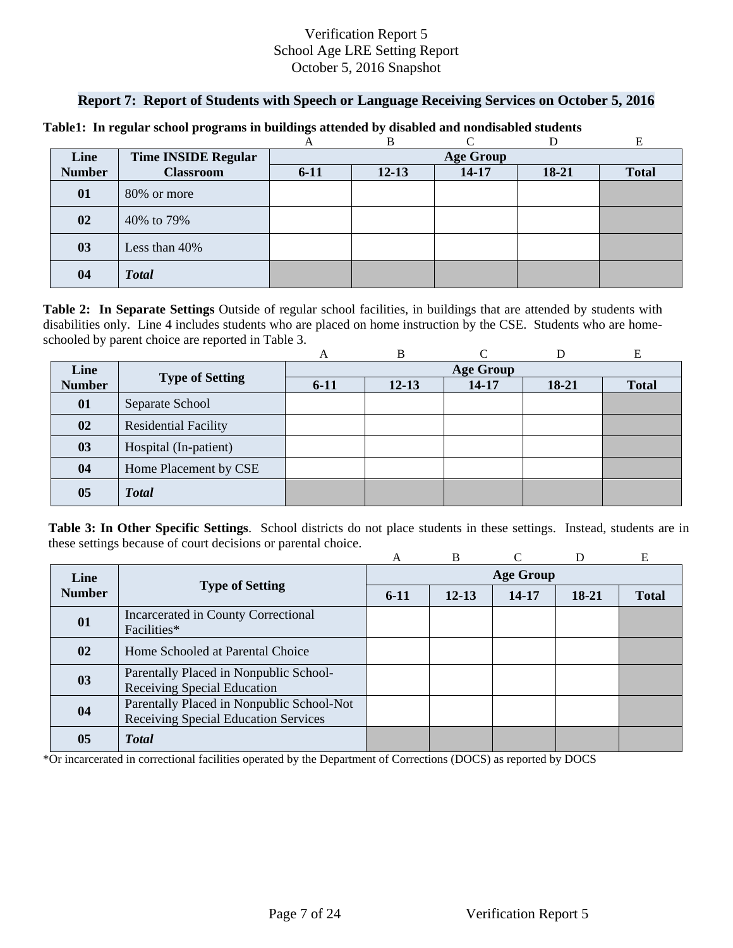### **Report 7: Report of Students with Speech or Language Receiving Services on October 5, 2016**

|               |                            |                  | B         | ⌒         |           |              |  |  |
|---------------|----------------------------|------------------|-----------|-----------|-----------|--------------|--|--|
| Line          | <b>Time INSIDE Regular</b> | <b>Age Group</b> |           |           |           |              |  |  |
| <b>Number</b> | <b>Classroom</b>           | $6 - 11$         | $12 - 13$ | $14 - 17$ | $18 - 21$ | <b>Total</b> |  |  |
| 01            | 80% or more                |                  |           |           |           |              |  |  |
| 02            | 40% to 79%                 |                  |           |           |           |              |  |  |
| 03            | Less than 40%              |                  |           |           |           |              |  |  |
| 04            | <b>Total</b>               |                  |           |           |           |              |  |  |

#### **Table1: In regular school programs in buildings attended by disabled and nondisabled students**

schooled by parent choice are reported in Table 3.<br>
A B C D E **Table 2: In Separate Settings** Outside of regular school facilities, in buildings that are attended by students with disabilities only. Line 4 includes students who are placed on home instruction by the CSE. Students who are home-

|                |                             | A                | B         |       |         | E            |  |  |
|----------------|-----------------------------|------------------|-----------|-------|---------|--------------|--|--|
| Line           |                             | <b>Age Group</b> |           |       |         |              |  |  |
| <b>Number</b>  | <b>Type of Setting</b>      | $6 - 11$         | $12 - 13$ | 14-17 | $18-21$ | <b>Total</b> |  |  |
| 01             | Separate School             |                  |           |       |         |              |  |  |
| 02             | <b>Residential Facility</b> |                  |           |       |         |              |  |  |
| 03             | Hospital (In-patient)       |                  |           |       |         |              |  |  |
| 04             | Home Placement by CSE       |                  |           |       |         |              |  |  |
| 0 <sub>5</sub> | <b>Total</b>                |                  |           |       |         |              |  |  |

**Table 3: In Other Specific Settings**. School districts do not place students in these settings. Instead, students are in these settings because of court decisions or parental choice.

|               |                                                                                   | A                | B         |       | D     | E            |  |  |
|---------------|-----------------------------------------------------------------------------------|------------------|-----------|-------|-------|--------------|--|--|
| Line          |                                                                                   | <b>Age Group</b> |           |       |       |              |  |  |
| <b>Number</b> | <b>Type of Setting</b>                                                            | $6-11$           | $12 - 13$ | 14-17 | 18-21 | <b>Total</b> |  |  |
| 01            | Incarcerated in County Correctional<br>Facilities*                                |                  |           |       |       |              |  |  |
| 02            | Home Schooled at Parental Choice                                                  |                  |           |       |       |              |  |  |
| 03            | Parentally Placed in Nonpublic School-<br>Receiving Special Education             |                  |           |       |       |              |  |  |
| 04            | Parentally Placed in Nonpublic School-Not<br>Receiving Special Education Services |                  |           |       |       |              |  |  |
| 05            | <b>T</b> otal                                                                     |                  |           |       |       |              |  |  |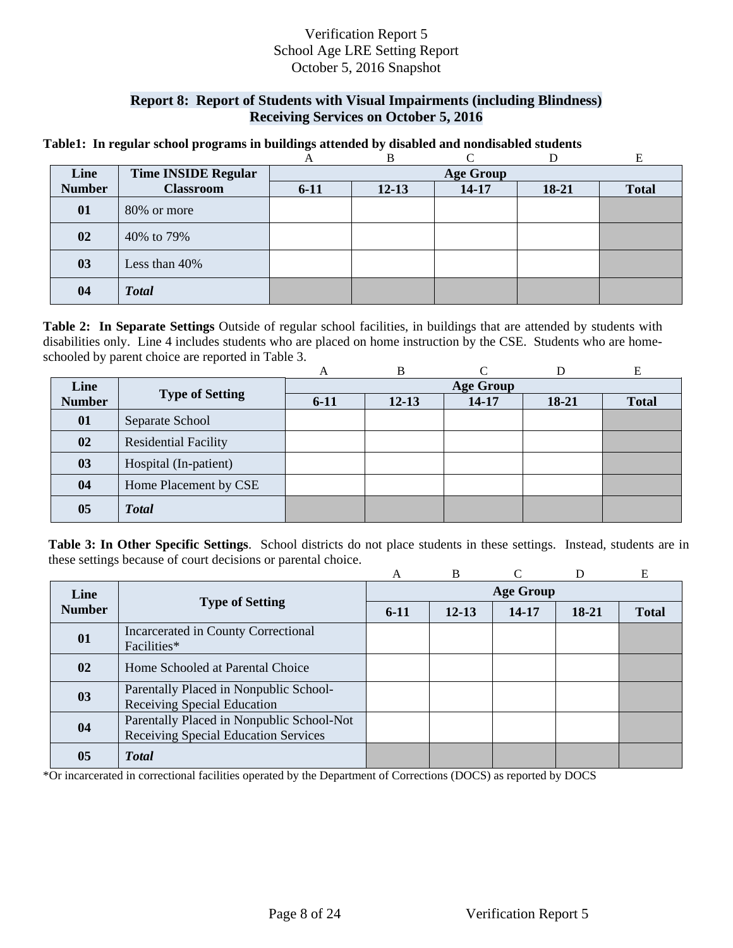## **Report 8: Report of Students with Visual Impairments (including Blindness) Receiving Services on October 5, 2016**

#### **Table1: In regular school programs in buildings attended by disabled and nondisabled students**

|               |                            |                  | В         |           |       | E            |  |  |
|---------------|----------------------------|------------------|-----------|-----------|-------|--------------|--|--|
| Line          | <b>Time INSIDE Regular</b> | <b>Age Group</b> |           |           |       |              |  |  |
| <b>Number</b> | <b>Classroom</b>           | $6 - 11$         | $12 - 13$ | $14 - 17$ | 18-21 | <b>Total</b> |  |  |
| 01            | 80% or more                |                  |           |           |       |              |  |  |
| 02            | 40% to 79%                 |                  |           |           |       |              |  |  |
| 03            | Less than 40%              |                  |           |           |       |              |  |  |
| 04            | <b>Total</b>               |                  |           |           |       |              |  |  |

 schooled by parent choice are reported in Table 3. **Table 2: In Separate Settings** Outside of regular school facilities, in buildings that are attended by students with disabilities only. Line 4 includes students who are placed on home instruction by the CSE. Students who are home-

|               |                             | А                | B         |           |         | E            |  |  |
|---------------|-----------------------------|------------------|-----------|-----------|---------|--------------|--|--|
| Line          | <b>Type of Setting</b>      | <b>Age Group</b> |           |           |         |              |  |  |
| <b>Number</b> |                             | $6-11$           | $12 - 13$ | $14 - 17$ | $18-21$ | <b>Total</b> |  |  |
| 01            | Separate School             |                  |           |           |         |              |  |  |
| 02            | <b>Residential Facility</b> |                  |           |           |         |              |  |  |
| 03            | Hospital (In-patient)       |                  |           |           |         |              |  |  |
| 04            | Home Placement by CSE       |                  |           |           |         |              |  |  |
| 05            | <b>Total</b>                |                  |           |           |         |              |  |  |

**Table 3: In Other Specific Settings**. School districts do not place students in these settings. Instead, students are in these settings because of court decisions or parental choice.

|               |                                                                                   | A                | B         | ⌒     | D     | Е            |  |  |
|---------------|-----------------------------------------------------------------------------------|------------------|-----------|-------|-------|--------------|--|--|
| Line          |                                                                                   | <b>Age Group</b> |           |       |       |              |  |  |
| <b>Number</b> | <b>Type of Setting</b>                                                            | $6-11$           | $12 - 13$ | 14-17 | 18-21 | <b>Total</b> |  |  |
| 01            | Incarcerated in County Correctional<br>Facilities*                                |                  |           |       |       |              |  |  |
| 02            | Home Schooled at Parental Choice                                                  |                  |           |       |       |              |  |  |
| 03            | Parentally Placed in Nonpublic School-<br>Receiving Special Education             |                  |           |       |       |              |  |  |
| 04            | Parentally Placed in Nonpublic School-Not<br>Receiving Special Education Services |                  |           |       |       |              |  |  |
| 05            | <b>Total</b>                                                                      |                  |           |       |       |              |  |  |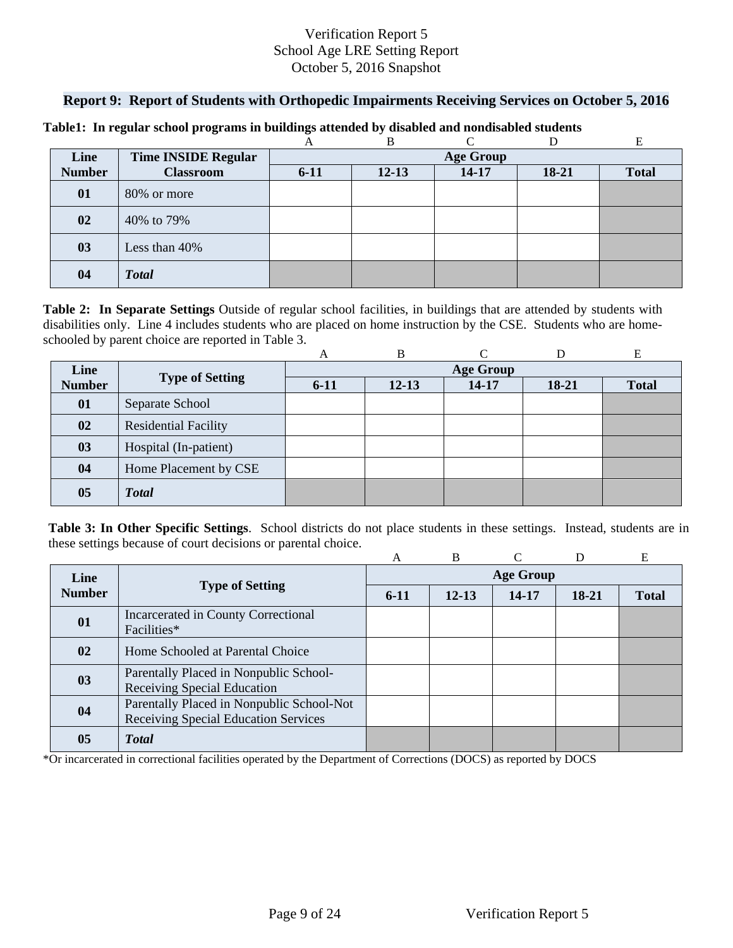### **Report 9: Report of Students with Orthopedic Impairments Receiving Services on October 5, 2016**

|               |                            |                  | B         | $\sqrt{ }$ |       |              |  |  |
|---------------|----------------------------|------------------|-----------|------------|-------|--------------|--|--|
| Line          | <b>Time INSIDE Regular</b> | <b>Age Group</b> |           |            |       |              |  |  |
| <b>Number</b> | <b>Classroom</b>           | $6 - 11$         | $12 - 13$ | $14 - 17$  | 18-21 | <b>Total</b> |  |  |
| 01            | 80% or more                |                  |           |            |       |              |  |  |
| 02            | 40% to 79%                 |                  |           |            |       |              |  |  |
| 03            | Less than 40%              |                  |           |            |       |              |  |  |
| 04            | <b>Total</b>               |                  |           |            |       |              |  |  |

#### **Table1: In regular school programs in buildings attended by disabled and nondisabled students**

schooled by parent choice are reported in Table 3.<br>
A B C D E **Table 2: In Separate Settings** Outside of regular school facilities, in buildings that are attended by students with disabilities only. Line 4 includes students who are placed on home instruction by the CSE. Students who are home-

|                |                             | A      | B         |                  |         | Е            |
|----------------|-----------------------------|--------|-----------|------------------|---------|--------------|
| Line           |                             |        |           | <b>Age Group</b> |         |              |
| <b>Number</b>  | <b>Type of Setting</b>      | $6-11$ | $12 - 13$ | 14-17            | $18-21$ | <b>Total</b> |
| 01             | Separate School             |        |           |                  |         |              |
| 02             | <b>Residential Facility</b> |        |           |                  |         |              |
| 03             | Hospital (In-patient)       |        |           |                  |         |              |
| 04             | Home Placement by CSE       |        |           |                  |         |              |
| 0 <sub>5</sub> | <b>Total</b>                |        |           |                  |         |              |

**Table 3: In Other Specific Settings**. School districts do not place students in these settings. Instead, students are in these settings because of court decisions or parental choice.

|               |                                                    | A                | B         |       | D     | E            |  |  |
|---------------|----------------------------------------------------|------------------|-----------|-------|-------|--------------|--|--|
| Line          |                                                    | <b>Age Group</b> |           |       |       |              |  |  |
| <b>Number</b> | <b>Type of Setting</b>                             | $6-11$           | $12 - 13$ | 14-17 | 18-21 | <b>Total</b> |  |  |
| 01            | Incarcerated in County Correctional<br>Facilities* |                  |           |       |       |              |  |  |
|               |                                                    |                  |           |       |       |              |  |  |
| 02            | Home Schooled at Parental Choice                   |                  |           |       |       |              |  |  |
| 03            | Parentally Placed in Nonpublic School-             |                  |           |       |       |              |  |  |
|               | Receiving Special Education                        |                  |           |       |       |              |  |  |
| 04            | Parentally Placed in Nonpublic School-Not          |                  |           |       |       |              |  |  |
|               | Receiving Special Education Services               |                  |           |       |       |              |  |  |
| 05            | <b>T</b> otal                                      |                  |           |       |       |              |  |  |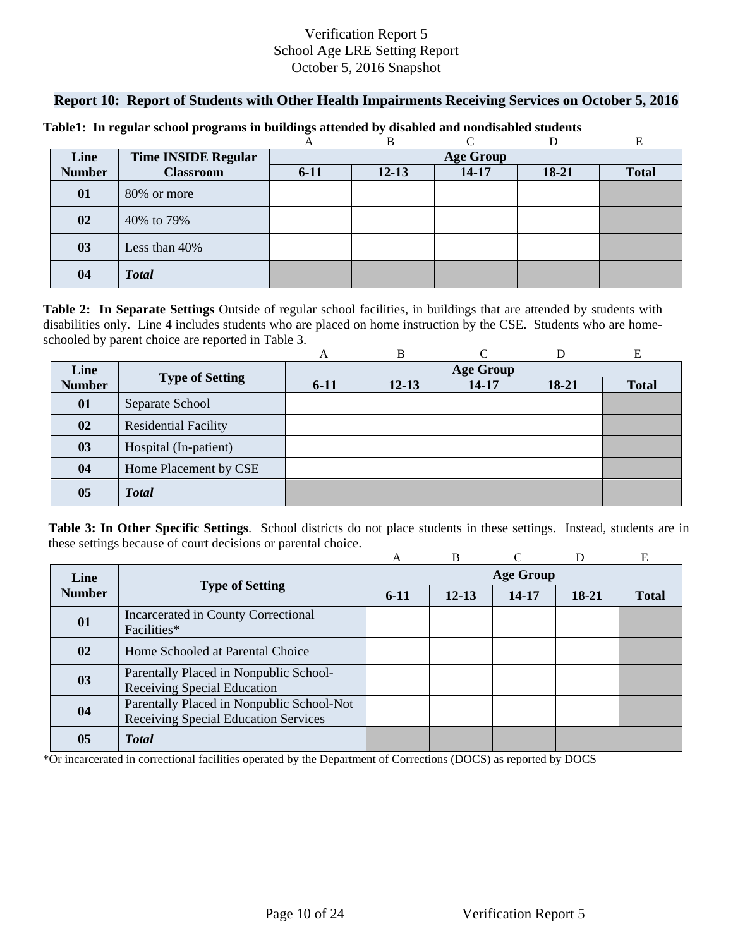### **Report 10: Report of Students with Other Health Impairments Receiving Services on October 5, 2016**

|               |                            |                  | B         | $\sqrt{ }$ |       |              |  |  |
|---------------|----------------------------|------------------|-----------|------------|-------|--------------|--|--|
| Line          | <b>Time INSIDE Regular</b> | <b>Age Group</b> |           |            |       |              |  |  |
| <b>Number</b> | <b>Classroom</b>           | $6 - 11$         | $12 - 13$ | $14 - 17$  | 18-21 | <b>Total</b> |  |  |
| 01            | 80% or more                |                  |           |            |       |              |  |  |
| 02            | 40% to 79%                 |                  |           |            |       |              |  |  |
| 03            | Less than 40%              |                  |           |            |       |              |  |  |
| 04            | <b>Total</b>               |                  |           |            |       |              |  |  |

#### **Table1: In regular school programs in buildings attended by disabled and nondisabled students**

schooled by parent choice are reported in Table 3.<br>
A B C D E **Table 2: In Separate Settings** Outside of regular school facilities, in buildings that are attended by students with disabilities only. Line 4 includes students who are placed on home instruction by the CSE. Students who are home-

|                |                             | A      | B         |                  |         | Е            |
|----------------|-----------------------------|--------|-----------|------------------|---------|--------------|
| Line           |                             |        |           | <b>Age Group</b> |         |              |
| <b>Number</b>  | <b>Type of Setting</b>      | $6-11$ | $12 - 13$ | 14-17            | $18-21$ | <b>Total</b> |
| 01             | Separate School             |        |           |                  |         |              |
| 02             | <b>Residential Facility</b> |        |           |                  |         |              |
| 03             | Hospital (In-patient)       |        |           |                  |         |              |
| 04             | Home Placement by CSE       |        |           |                  |         |              |
| 0 <sub>5</sub> | <b>Total</b>                |        |           |                  |         |              |

**Table 3: In Other Specific Settings**. School districts do not place students in these settings. Instead, students are in these settings because of court decisions or parental choice.

|               |                                                                                   | A                | B         |       | D     | E            |  |  |
|---------------|-----------------------------------------------------------------------------------|------------------|-----------|-------|-------|--------------|--|--|
| Line          |                                                                                   | <b>Age Group</b> |           |       |       |              |  |  |
| <b>Number</b> | <b>Type of Setting</b>                                                            | $6-11$           | $12 - 13$ | 14-17 | 18-21 | <b>Total</b> |  |  |
| 01            | Incarcerated in County Correctional<br>Facilities*                                |                  |           |       |       |              |  |  |
| 02            | Home Schooled at Parental Choice                                                  |                  |           |       |       |              |  |  |
| 03            | Parentally Placed in Nonpublic School-<br>Receiving Special Education             |                  |           |       |       |              |  |  |
| 04            | Parentally Placed in Nonpublic School-Not<br>Receiving Special Education Services |                  |           |       |       |              |  |  |
| 05            | <b>T</b> otal                                                                     |                  |           |       |       |              |  |  |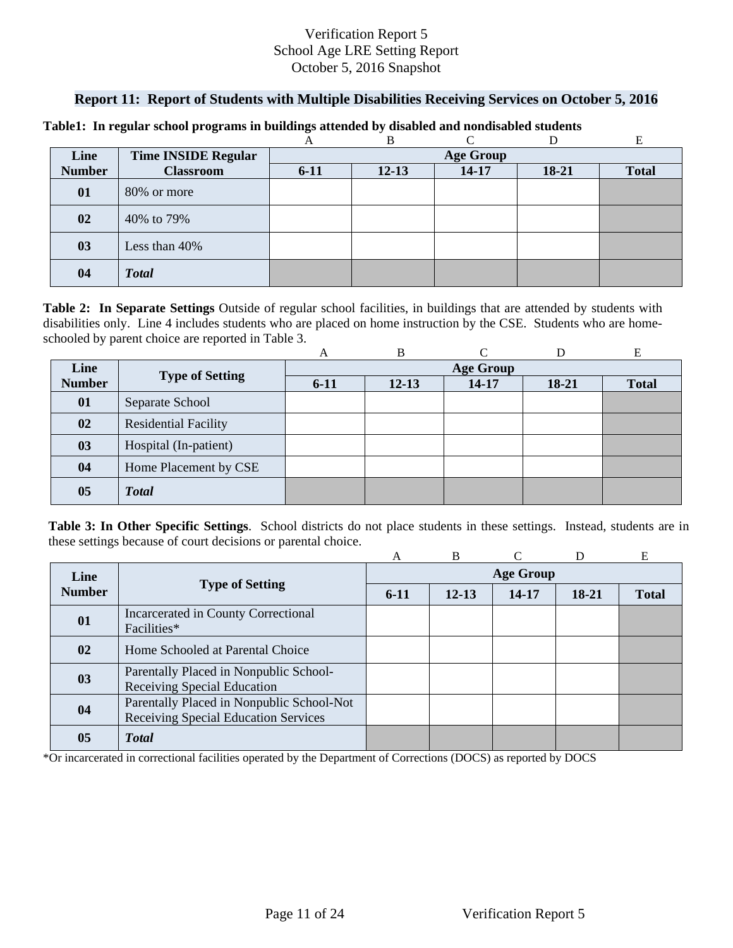## **Report 11: Report of Students with Multiple Disabilities Receiving Services on October 5, 2016**

|               |                            |          | B                | ⌒         |           |              |  |  |  |
|---------------|----------------------------|----------|------------------|-----------|-----------|--------------|--|--|--|
| Line          | <b>Time INSIDE Regular</b> |          | <b>Age Group</b> |           |           |              |  |  |  |
| <b>Number</b> | <b>Classroom</b>           | $6 - 11$ | $12 - 13$        | $14 - 17$ | $18 - 21$ | <b>Total</b> |  |  |  |
| 01            | 80% or more                |          |                  |           |           |              |  |  |  |
| 02            | 40% to 79%                 |          |                  |           |           |              |  |  |  |
| 03            | Less than 40%              |          |                  |           |           |              |  |  |  |
| 04            | <b>Total</b>               |          |                  |           |           |              |  |  |  |

#### **Table1: In regular school programs in buildings attended by disabled and nondisabled students**

schooled by parent choice are reported in Table 3.<br>
A B C D E **Table 2: In Separate Settings** Outside of regular school facilities, in buildings that are attended by students with disabilities only. Line 4 includes students who are placed on home instruction by the CSE. Students who are home-

|               |                             | A                | B         |       |         | Е            |  |  |
|---------------|-----------------------------|------------------|-----------|-------|---------|--------------|--|--|
| Line          |                             | <b>Age Group</b> |           |       |         |              |  |  |
| <b>Number</b> | <b>Type of Setting</b>      | $6 - 11$         | $12 - 13$ | 14-17 | $18-21$ | <b>Total</b> |  |  |
| 01            | Separate School             |                  |           |       |         |              |  |  |
| 02            | <b>Residential Facility</b> |                  |           |       |         |              |  |  |
| 03            | Hospital (In-patient)       |                  |           |       |         |              |  |  |
| 04            | Home Placement by CSE       |                  |           |       |         |              |  |  |
| 05            | <b>Total</b>                |                  |           |       |         |              |  |  |

**Table 3: In Other Specific Settings**. School districts do not place students in these settings. Instead, students are in these settings because of court decisions or parental choice.

|               |                                                                                   | A                | B         |           |       | E            |  |  |
|---------------|-----------------------------------------------------------------------------------|------------------|-----------|-----------|-------|--------------|--|--|
| Line          |                                                                                   | <b>Age Group</b> |           |           |       |              |  |  |
| <b>Number</b> | <b>Type of Setting</b>                                                            | $6-11$           | $12 - 13$ | $14 - 17$ | 18-21 | <b>Total</b> |  |  |
| 01            | Incarcerated in County Correctional<br>Facilities*                                |                  |           |           |       |              |  |  |
| 02            | Home Schooled at Parental Choice                                                  |                  |           |           |       |              |  |  |
| 03            | Parentally Placed in Nonpublic School-<br>Receiving Special Education             |                  |           |           |       |              |  |  |
| 04            | Parentally Placed in Nonpublic School-Not<br>Receiving Special Education Services |                  |           |           |       |              |  |  |
| 05            | <b>T</b> otal                                                                     |                  |           |           |       |              |  |  |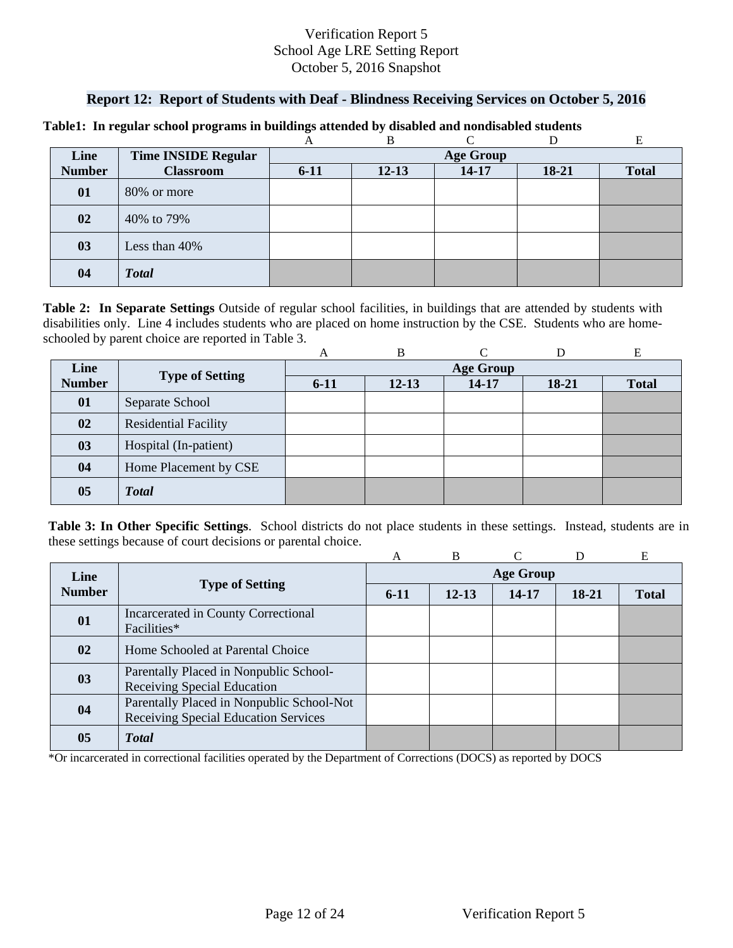## **Report 12: Report of Students with Deaf - Blindness Receiving Services on October 5, 2016**

|               |                            |          | B                |           |       |              |  |  |  |
|---------------|----------------------------|----------|------------------|-----------|-------|--------------|--|--|--|
| Line          | <b>Time INSIDE Regular</b> |          | <b>Age Group</b> |           |       |              |  |  |  |
| <b>Number</b> | <b>Classroom</b>           | $6 - 11$ | $12 - 13$        | $14 - 17$ | 18-21 | <b>Total</b> |  |  |  |
| 01            | 80% or more                |          |                  |           |       |              |  |  |  |
| 02            | 40% to 79%                 |          |                  |           |       |              |  |  |  |
| 03            | Less than 40%              |          |                  |           |       |              |  |  |  |
| 04            | <b>Total</b>               |          |                  |           |       |              |  |  |  |

#### **Table1: In regular school programs in buildings attended by disabled and nondisabled students**

schooled by parent choice are reported in Table 3.<br>
A B C D E **Table 2: In Separate Settings** Outside of regular school facilities, in buildings that are attended by students with disabilities only. Line 4 includes students who are placed on home instruction by the CSE. Students who are home-

|               |                             | A                | B         |       |         | Е            |  |  |
|---------------|-----------------------------|------------------|-----------|-------|---------|--------------|--|--|
| Line          |                             | <b>Age Group</b> |           |       |         |              |  |  |
| <b>Number</b> | <b>Type of Setting</b>      | $6 - 11$         | $12 - 13$ | 14-17 | $18-21$ | <b>Total</b> |  |  |
| 01            | Separate School             |                  |           |       |         |              |  |  |
| 02            | <b>Residential Facility</b> |                  |           |       |         |              |  |  |
| 03            | Hospital (In-patient)       |                  |           |       |         |              |  |  |
| 04            | Home Placement by CSE       |                  |           |       |         |              |  |  |
| 05            | <b>Total</b>                |                  |           |       |         |              |  |  |

**Table 3: In Other Specific Settings**. School districts do not place students in these settings. Instead, students are in these settings because of court decisions or parental choice.

|               |                                                                                   | A                | B         |       |       | E            |  |  |
|---------------|-----------------------------------------------------------------------------------|------------------|-----------|-------|-------|--------------|--|--|
| Line          |                                                                                   | <b>Age Group</b> |           |       |       |              |  |  |
| <b>Number</b> | <b>Type of Setting</b>                                                            | $6-11$           | $12 - 13$ | 14-17 | 18-21 | <b>Total</b> |  |  |
| 01            | Incarcerated in County Correctional<br>Facilities*                                |                  |           |       |       |              |  |  |
| $\mathbf{02}$ | Home Schooled at Parental Choice                                                  |                  |           |       |       |              |  |  |
| 03            | Parentally Placed in Nonpublic School-<br>Receiving Special Education             |                  |           |       |       |              |  |  |
| 04            | Parentally Placed in Nonpublic School-Not<br>Receiving Special Education Services |                  |           |       |       |              |  |  |
| 05            | <b>Total</b>                                                                      |                  |           |       |       |              |  |  |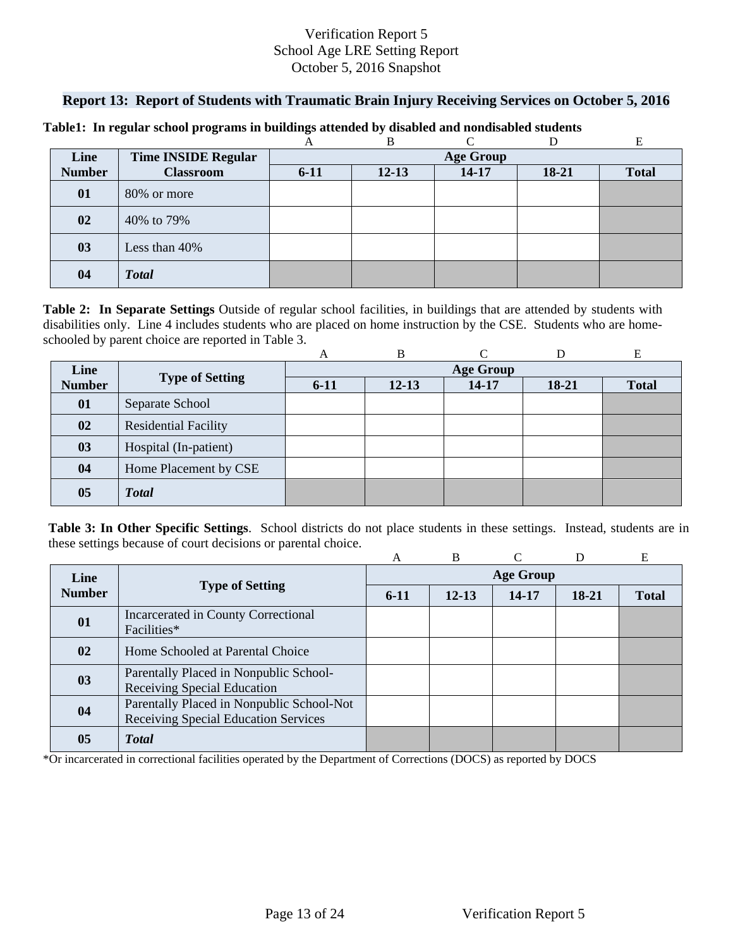### **Report 13: Report of Students with Traumatic Brain Injury Receiving Services on October 5, 2016**

|               |                            |          | B         | $\sqrt{ }$       |       |              |
|---------------|----------------------------|----------|-----------|------------------|-------|--------------|
| Line          | <b>Time INSIDE Regular</b> |          |           | <b>Age Group</b> |       |              |
| <b>Number</b> | <b>Classroom</b>           | $6 - 11$ | $12 - 13$ | $14 - 17$        | 18-21 | <b>Total</b> |
| 01            | 80% or more                |          |           |                  |       |              |
| 02            | 40% to 79%                 |          |           |                  |       |              |
| 03            | Less than 40%              |          |           |                  |       |              |
| 04            | <b>Total</b>               |          |           |                  |       |              |

#### **Table1: In regular school programs in buildings attended by disabled and nondisabled students**

schooled by parent choice are reported in Table 3.<br>
A B C D E **Table 2: In Separate Settings** Outside of regular school facilities, in buildings that are attended by students with disabilities only. Line 4 includes students who are placed on home instruction by the CSE. Students who are home-

|                |                             | A        | B         |                  |         | E            |
|----------------|-----------------------------|----------|-----------|------------------|---------|--------------|
| Line           |                             |          |           | <b>Age Group</b> |         |              |
| <b>Number</b>  | <b>Type of Setting</b>      | $6 - 11$ | $12 - 13$ | 14-17            | $18-21$ | <b>Total</b> |
| 01             | Separate School             |          |           |                  |         |              |
| 02             | <b>Residential Facility</b> |          |           |                  |         |              |
| 03             | Hospital (In-patient)       |          |           |                  |         |              |
| 04             | Home Placement by CSE       |          |           |                  |         |              |
| 0 <sub>5</sub> | <b>Total</b>                |          |           |                  |         |              |

**Table 3: In Other Specific Settings**. School districts do not place students in these settings. Instead, students are in these settings because of court decisions or parental choice.

|               |                                                                                   | A                | B         |       | D     | E            |  |  |  |  |  |
|---------------|-----------------------------------------------------------------------------------|------------------|-----------|-------|-------|--------------|--|--|--|--|--|
| Line          |                                                                                   | <b>Age Group</b> |           |       |       |              |  |  |  |  |  |
| <b>Number</b> | <b>Type of Setting</b>                                                            | $6-11$           | $12 - 13$ | 14-17 | 18-21 | <b>Total</b> |  |  |  |  |  |
| 01            | Incarcerated in County Correctional<br>Facilities*                                |                  |           |       |       |              |  |  |  |  |  |
| 02            | Home Schooled at Parental Choice                                                  |                  |           |       |       |              |  |  |  |  |  |
| 03            | Parentally Placed in Nonpublic School-<br>Receiving Special Education             |                  |           |       |       |              |  |  |  |  |  |
| 04            | Parentally Placed in Nonpublic School-Not<br>Receiving Special Education Services |                  |           |       |       |              |  |  |  |  |  |
| 05            | <b>T</b> otal                                                                     |                  |           |       |       |              |  |  |  |  |  |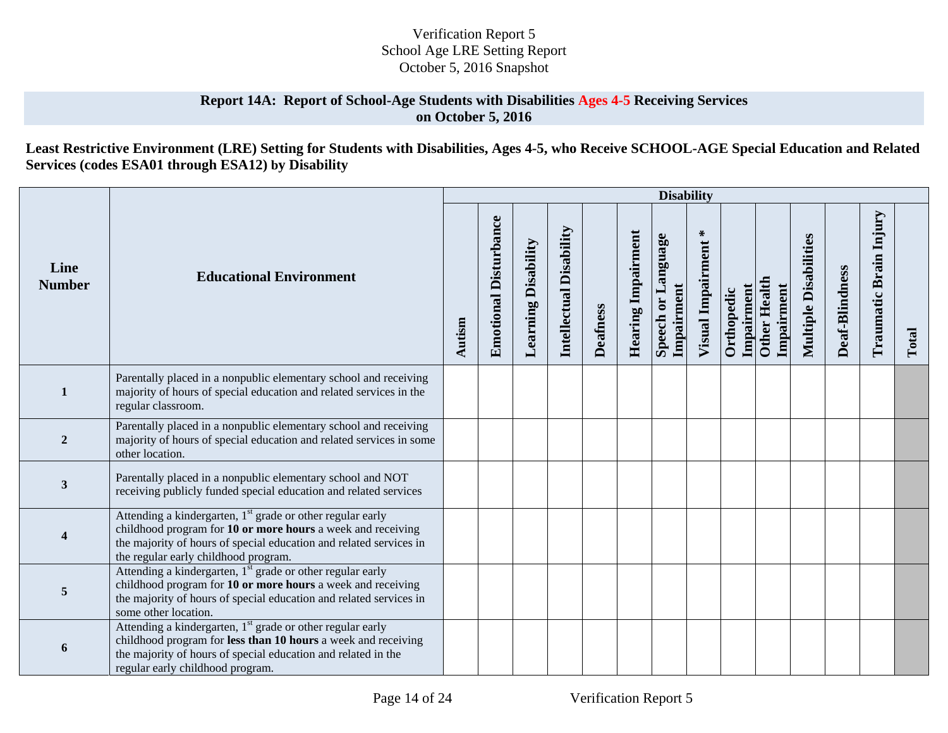## **Report 14A: Report of School-Age Students with Disabilities Ages 4-5 Receiving Services on October 5, 2016**

**Least Restrictive Environment (LRE) Setting for Students with Disabilities, Ages 4-5, who Receive SCHOOL-AGE Special Education and Related Services (codes ESA01 through ESA12) by Disability** 

|                       |                                                                                                                                                                                                                                                     |        |                              |                            |                                |                 |                           | <b>Disability</b>                |                             |                          |                                   |                              |                |                        |       |
|-----------------------|-----------------------------------------------------------------------------------------------------------------------------------------------------------------------------------------------------------------------------------------------------|--------|------------------------------|----------------------------|--------------------------------|-----------------|---------------------------|----------------------------------|-----------------------------|--------------------------|-----------------------------------|------------------------------|----------------|------------------------|-------|
| Line<br><b>Number</b> | <b>Educational Environment</b>                                                                                                                                                                                                                      | Autism | <b>Emotional Disturbance</b> | <b>Learning Disability</b> | <b>Intellectual Disability</b> | <b>Deafness</b> | <b>Hearing Impairment</b> | Speech or Language<br>Impairment | $\ast$<br>Visual Impairment | Impairment<br>Orthopedic | <b>Other Health</b><br>Impairment | <b>Multiple Disabilities</b> | Deaf-Blindness | Traumatic Brain Injury | Total |
| $\mathbf{1}$          | Parentally placed in a nonpublic elementary school and receiving<br>majority of hours of special education and related services in the<br>regular classroom.                                                                                        |        |                              |                            |                                |                 |                           |                                  |                             |                          |                                   |                              |                |                        |       |
| $\overline{2}$        | Parentally placed in a nonpublic elementary school and receiving<br>majority of hours of special education and related services in some<br>other location.                                                                                          |        |                              |                            |                                |                 |                           |                                  |                             |                          |                                   |                              |                |                        |       |
| 3                     | Parentally placed in a nonpublic elementary school and NOT<br>receiving publicly funded special education and related services                                                                                                                      |        |                              |                            |                                |                 |                           |                                  |                             |                          |                                   |                              |                |                        |       |
| 4                     | Attending a kindergarten, 1 <sup>st</sup> grade or other regular early<br>childhood program for 10 or more hours a week and receiving<br>the majority of hours of special education and related services in<br>the regular early childhood program. |        |                              |                            |                                |                 |                           |                                  |                             |                          |                                   |                              |                |                        |       |
| 5                     | Attending a kindergarten, 1 <sup>st</sup> grade or other regular early<br>childhood program for 10 or more hours a week and receiving<br>the majority of hours of special education and related services in<br>some other location.                 |        |                              |                            |                                |                 |                           |                                  |                             |                          |                                   |                              |                |                        |       |
| 6                     | Attending a kindergarten, 1 <sup>st</sup> grade or other regular early<br>childhood program for less than 10 hours a week and receiving<br>the majority of hours of special education and related in the<br>regular early childhood program.        |        |                              |                            |                                |                 |                           |                                  |                             |                          |                                   |                              |                |                        |       |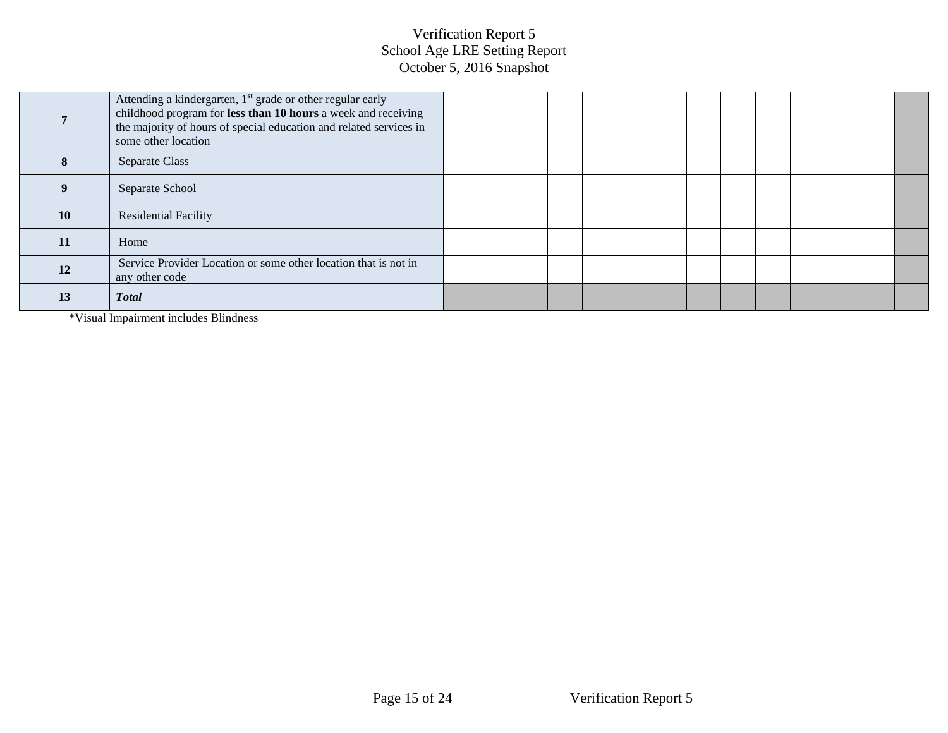|    | Attending a kindergarten, 1 <sup>st</sup> grade or other regular early<br>childhood program for less than 10 hours a week and receiving<br>the majority of hours of special education and related services in<br>some other location |  |  |  |  |  |  |  |
|----|--------------------------------------------------------------------------------------------------------------------------------------------------------------------------------------------------------------------------------------|--|--|--|--|--|--|--|
| x  | Separate Class                                                                                                                                                                                                                       |  |  |  |  |  |  |  |
|    | Separate School                                                                                                                                                                                                                      |  |  |  |  |  |  |  |
| 10 | <b>Residential Facility</b>                                                                                                                                                                                                          |  |  |  |  |  |  |  |
| 11 | Home                                                                                                                                                                                                                                 |  |  |  |  |  |  |  |
| 12 | Service Provider Location or some other location that is not in<br>any other code                                                                                                                                                    |  |  |  |  |  |  |  |
| 13 | <b>Total</b>                                                                                                                                                                                                                         |  |  |  |  |  |  |  |

\*Visual Impairment includes Blindness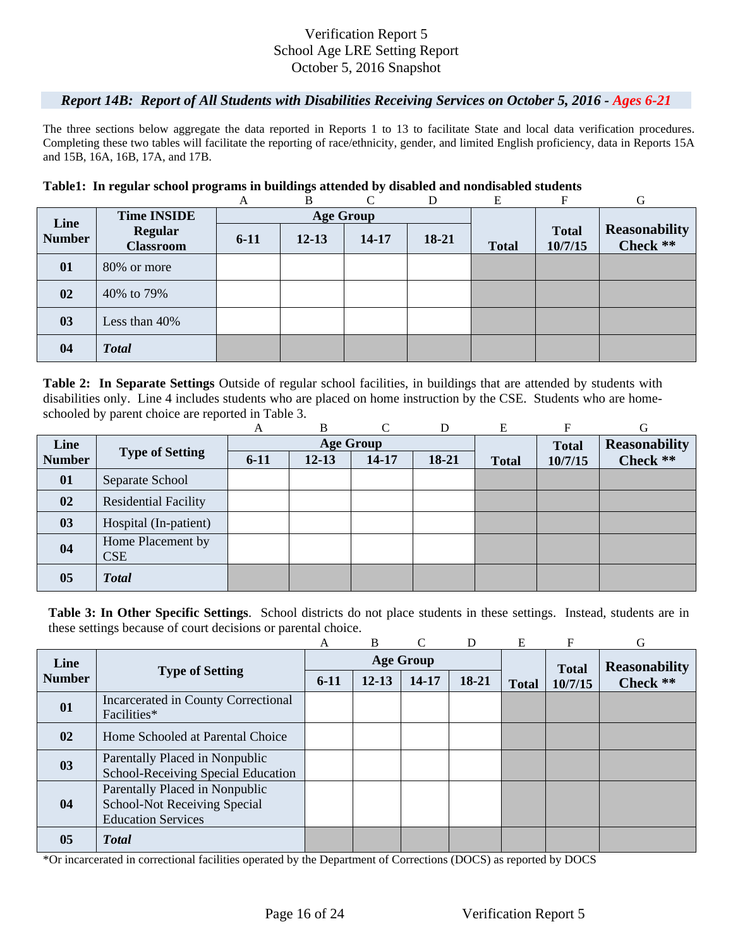### *Report 14B: Report of All Students with Disabilities Receiving Services on October 5, 2016 - Ages 6-21*

The three sections below aggregate the data reported in Reports 1 to 13 to facilitate State and local data verification procedures. Completing these two tables will facilitate the reporting of race/ethnicity, gender, and limited English proficiency, data in Reports 15A and 15B, 16A, 16B, 17A, and 17B.

#### **Table1: In regular school programs in buildings attended by disabled and nondisabled students**

|               |                                    | A        | B         | $\Gamma$         | D     | E            | F                       | G                                |
|---------------|------------------------------------|----------|-----------|------------------|-------|--------------|-------------------------|----------------------------------|
| Line          | <b>Time INSIDE</b>                 |          |           | <b>Age Group</b> |       |              |                         |                                  |
| <b>Number</b> | <b>Regular</b><br><b>Classroom</b> | $6 - 11$ | $12 - 13$ | 14-17            | 18-21 | <b>Total</b> | <b>Total</b><br>10/7/15 | <b>Reasonability</b><br>Check ** |
| 01            | 80% or more                        |          |           |                  |       |              |                         |                                  |
| 02            | 40% to 79%                         |          |           |                  |       |              |                         |                                  |
| 03            | Less than $40\%$                   |          |           |                  |       |              |                         |                                  |
| 04            | <b>Total</b>                       |          |           |                  |       |              |                         |                                  |

schooled by parent choice are reported in Table 3.<br>
A B C D E F G **Table 2: In Separate Settings** Outside of regular school facilities, in buildings that are attended by students with disabilities only. Line 4 includes students who are placed on home instruction by the CSE. Students who are home-

|               |                                 | А        | B         | $\curvearrowright$ | D     | Е            | F            | G                    |
|---------------|---------------------------------|----------|-----------|--------------------|-------|--------------|--------------|----------------------|
| Line          |                                 |          |           | <b>Age Group</b>   |       |              | <b>Total</b> | <b>Reasonability</b> |
| <b>Number</b> | <b>Type of Setting</b>          | $6 - 11$ | $12 - 13$ | 14-17              | 18-21 | <b>Total</b> | 10/7/15      | Check **             |
| 01            | Separate School                 |          |           |                    |       |              |              |                      |
| 02            | <b>Residential Facility</b>     |          |           |                    |       |              |              |                      |
| 03            | Hospital (In-patient)           |          |           |                    |       |              |              |                      |
| 04            | Home Placement by<br><b>CSE</b> |          |           |                    |       |              |              |                      |
| 05            | <b>Total</b>                    |          |           |                    |       |              |              |                      |

**Table 3: In Other Specific Settings**. School districts do not place students in these settings. Instead, students are in these settings because of court decisions or parental choice.

|               |                                                                                             | A      | B         | $\mathcal{C}$    | D     | E            | F            | G                    |
|---------------|---------------------------------------------------------------------------------------------|--------|-----------|------------------|-------|--------------|--------------|----------------------|
| Line          |                                                                                             |        |           | <b>Age Group</b> |       |              | <b>Total</b> | <b>Reasonability</b> |
| <b>Number</b> | <b>Type of Setting</b>                                                                      | $6-11$ | $12 - 13$ | $14-17$          | 18-21 | <b>Total</b> | 10/7/15      | Check **             |
| 01            | <b>Incarcerated in County Correctional</b><br>Facilities*                                   |        |           |                  |       |              |              |                      |
| 02            | Home Schooled at Parental Choice                                                            |        |           |                  |       |              |              |                      |
| 03            | Parentally Placed in Nonpublic<br>School-Receiving Special Education                        |        |           |                  |       |              |              |                      |
| 04            | Parentally Placed in Nonpublic<br>School-Not Receiving Special<br><b>Education Services</b> |        |           |                  |       |              |              |                      |
| 05            | <b>Total</b>                                                                                |        |           |                  |       |              |              |                      |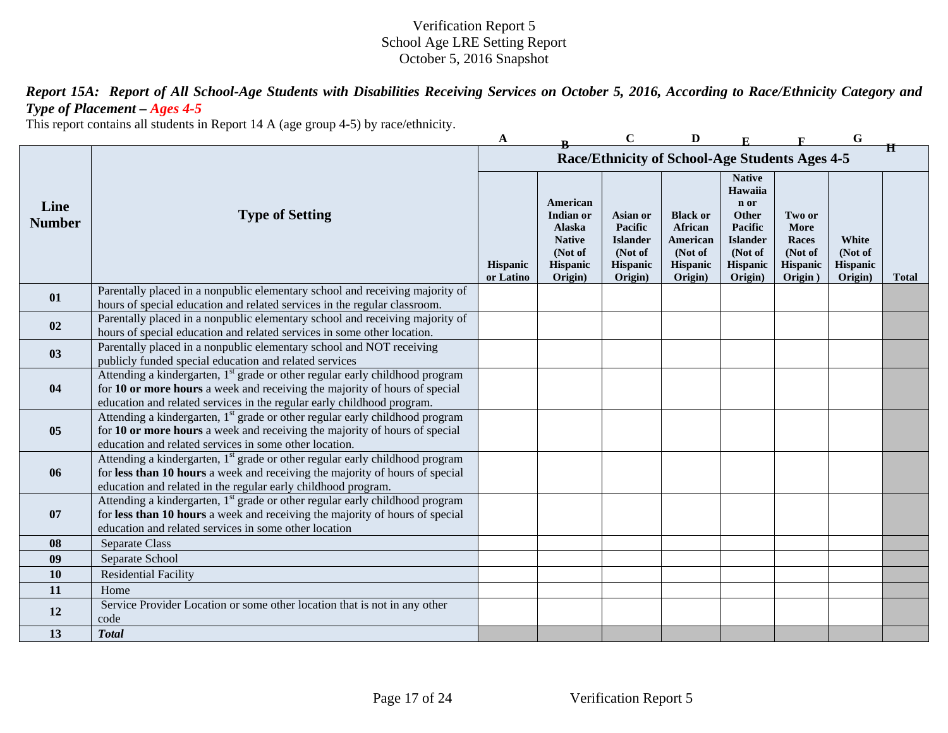*Report 15A: Report of All School-Age Students with Disabilities Receiving Services on October 5, 2016, According to Race/Ethnicity Category and Type of Placement – Ages 4-5* 

This report contains all students in Report 14 A (age group 4-5) by race/ethnicity.

|                       |                                                                                                                                                                                                                                                  | A                     |                                                                                           | $\mathbf C$                                                              | D                                                                               |                                                                                                           |                                                           | G                                              |              |
|-----------------------|--------------------------------------------------------------------------------------------------------------------------------------------------------------------------------------------------------------------------------------------------|-----------------------|-------------------------------------------------------------------------------------------|--------------------------------------------------------------------------|---------------------------------------------------------------------------------|-----------------------------------------------------------------------------------------------------------|-----------------------------------------------------------|------------------------------------------------|--------------|
|                       |                                                                                                                                                                                                                                                  |                       |                                                                                           |                                                                          | Race/Ethnicity of School-Age Students Ages 4-5                                  |                                                                                                           |                                                           |                                                | Ħ            |
| Line<br><b>Number</b> | <b>Type of Setting</b>                                                                                                                                                                                                                           | Hispanic<br>or Latino | American<br>Indian or<br>Alaska<br><b>Native</b><br>(Not of<br><b>Hispanic</b><br>Origin) | Asian or<br>Pacific<br><b>Islander</b><br>(Not of<br>Hispanic<br>Origin) | <b>Black or</b><br>African<br>American<br>(Not of<br><b>Hispanic</b><br>Origin) | <b>Native</b><br>Hawaiia<br>n or<br>Other<br>Pacific<br><b>Islander</b><br>(Not of<br>Hispanic<br>Origin) | Two or<br>More<br>Races<br>(Not of<br>Hispanic<br>Origin) | White<br>(Not of<br><b>Hispanic</b><br>Origin) | <b>Total</b> |
| 01                    | Parentally placed in a nonpublic elementary school and receiving majority of<br>hours of special education and related services in the regular classroom.                                                                                        |                       |                                                                                           |                                                                          |                                                                                 |                                                                                                           |                                                           |                                                |              |
| 02                    | Parentally placed in a nonpublic elementary school and receiving majority of<br>hours of special education and related services in some other location.                                                                                          |                       |                                                                                           |                                                                          |                                                                                 |                                                                                                           |                                                           |                                                |              |
| 0 <sub>3</sub>        | Parentally placed in a nonpublic elementary school and NOT receiving<br>publicly funded special education and related services                                                                                                                   |                       |                                                                                           |                                                                          |                                                                                 |                                                                                                           |                                                           |                                                |              |
| 04                    | Attending a kindergarten, 1 <sup>st</sup> grade or other regular early childhood program<br>for 10 or more hours a week and receiving the majority of hours of special<br>education and related services in the regular early childhood program. |                       |                                                                                           |                                                                          |                                                                                 |                                                                                                           |                                                           |                                                |              |
| 05                    | Attending a kindergarten, 1 <sup>st</sup> grade or other regular early childhood program<br>for 10 or more hours a week and receiving the majority of hours of special<br>education and related services in some other location.                 |                       |                                                                                           |                                                                          |                                                                                 |                                                                                                           |                                                           |                                                |              |
| 06                    | Attending a kindergarten, 1 <sup>st</sup> grade or other regular early childhood program<br>for less than 10 hours a week and receiving the majority of hours of special<br>education and related in the regular early childhood program.        |                       |                                                                                           |                                                                          |                                                                                 |                                                                                                           |                                                           |                                                |              |
| 07                    | Attending a kindergarten, 1 <sup>st</sup> grade or other regular early childhood program<br>for less than 10 hours a week and receiving the majority of hours of special<br>education and related services in some other location                |                       |                                                                                           |                                                                          |                                                                                 |                                                                                                           |                                                           |                                                |              |
| 08                    | Separate Class                                                                                                                                                                                                                                   |                       |                                                                                           |                                                                          |                                                                                 |                                                                                                           |                                                           |                                                |              |
| 09                    | Separate School                                                                                                                                                                                                                                  |                       |                                                                                           |                                                                          |                                                                                 |                                                                                                           |                                                           |                                                |              |
| 10                    | <b>Residential Facility</b>                                                                                                                                                                                                                      |                       |                                                                                           |                                                                          |                                                                                 |                                                                                                           |                                                           |                                                |              |
| 11                    | Home                                                                                                                                                                                                                                             |                       |                                                                                           |                                                                          |                                                                                 |                                                                                                           |                                                           |                                                |              |
| 12                    | Service Provider Location or some other location that is not in any other<br>code                                                                                                                                                                |                       |                                                                                           |                                                                          |                                                                                 |                                                                                                           |                                                           |                                                |              |
| 13                    | <b>Total</b>                                                                                                                                                                                                                                     |                       |                                                                                           |                                                                          |                                                                                 |                                                                                                           |                                                           |                                                |              |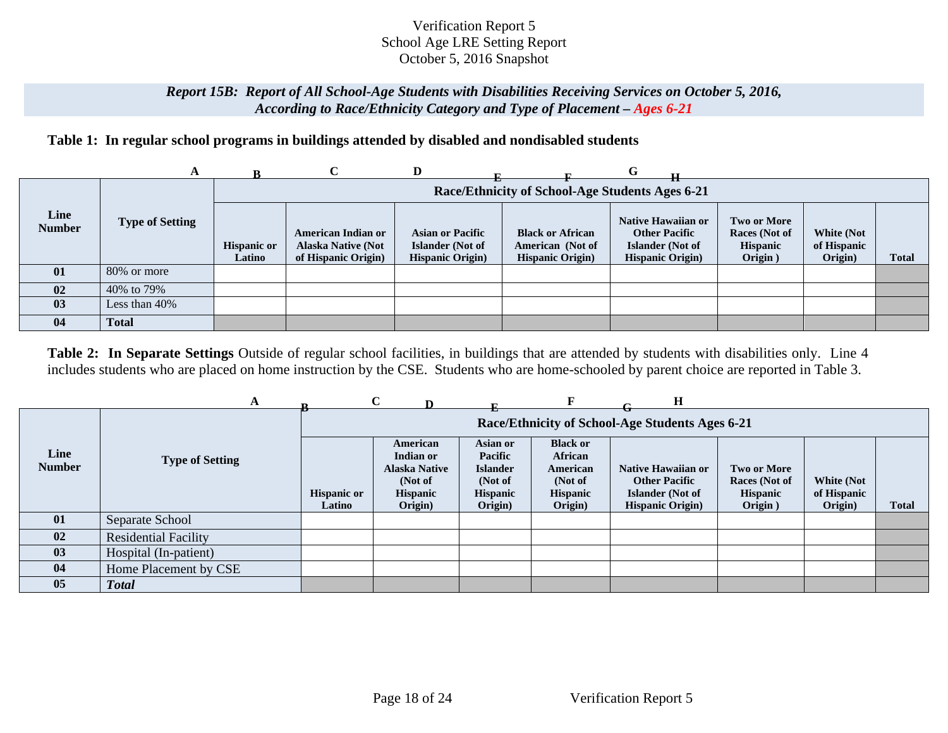## *Report 15B: Report of All School-Age Students with Disabilities Receiving Services on October 5, 2016, According to Race/Ethnicity Category and Type of Placement – Ages 6-21*

# **Table 1: In regular school programs in buildings attended by disabled and nondisabled students**

|                       | A                      |                              |                                                                               | D                                                                       |                                                                         | G                                                                                                 |                                                            |                                             |              |
|-----------------------|------------------------|------------------------------|-------------------------------------------------------------------------------|-------------------------------------------------------------------------|-------------------------------------------------------------------------|---------------------------------------------------------------------------------------------------|------------------------------------------------------------|---------------------------------------------|--------------|
|                       |                        |                              |                                                                               |                                                                         | Race/Ethnicity of School-Age Students Ages 6-21                         |                                                                                                   |                                                            |                                             |              |
| Line<br><b>Number</b> | <b>Type of Setting</b> | <b>Hispanic or</b><br>Latino | <b>American Indian or</b><br><b>Alaska Native (Not</b><br>of Hispanic Origin) | <b>Asian or Pacific</b><br>Islander (Not of<br><b>Hispanic Origin</b> ) | <b>Black or African</b><br>American (Not of<br><b>Hispanic Origin</b> ) | <b>Native Hawaiian or</b><br><b>Other Pacific</b><br>Islander (Not of<br><b>Hispanic Origin</b> ) | Two or More<br>Races (Not of<br><b>Hispanic</b><br>Origin) | <b>White (Not</b><br>of Hispanic<br>Origin) | <b>Total</b> |
| 01                    | 80% or more            |                              |                                                                               |                                                                         |                                                                         |                                                                                                   |                                                            |                                             |              |
| 02                    | 40% to 79%             |                              |                                                                               |                                                                         |                                                                         |                                                                                                   |                                                            |                                             |              |
| 03                    | Less than 40%          |                              |                                                                               |                                                                         |                                                                         |                                                                                                   |                                                            |                                             |              |
| 04                    | <b>Total</b>           |                              |                                                                               |                                                                         |                                                                         |                                                                                                   |                                                            |                                             |              |

**Table 2: In Separate Settings** Outside of regular school facilities, in buildings that are attended by students with disabilities only. Line 4 includes students who are placed on home instruction by the CSE. Students who are home-schooled by parent choice are reported in Table 3.

|                       |                             |                              | $\mathbf C$                                                                     |                                                                                 |                                                                                 | н                                                                                                 |                                                                   |                                      |       |
|-----------------------|-----------------------------|------------------------------|---------------------------------------------------------------------------------|---------------------------------------------------------------------------------|---------------------------------------------------------------------------------|---------------------------------------------------------------------------------------------------|-------------------------------------------------------------------|--------------------------------------|-------|
|                       |                             |                              |                                                                                 |                                                                                 |                                                                                 | Race/Ethnicity of School-Age Students Ages 6-21                                                   |                                                                   |                                      |       |
| Line<br><b>Number</b> | <b>Type of Setting</b>      | <b>Hispanic or</b><br>Latino | American<br>Indian or<br><b>Alaska Native</b><br>(Not of<br>Hispanic<br>Origin) | Asian or<br>Pacific<br><b>Islander</b><br>(Not of<br><b>Hispanic</b><br>Origin) | <b>Black or</b><br>African<br>American<br>(Not of<br><b>Hispanic</b><br>Origin) | Native Hawaiian or<br><b>Other Pacific</b><br><b>Islander</b> (Not of<br><b>Hispanic Origin</b> ) | <b>Two or More</b><br>Races (Not of<br><b>Hispanic</b><br>Origin) | White (Not<br>of Hispanic<br>Origin) | Total |
| 01                    | Separate School             |                              |                                                                                 |                                                                                 |                                                                                 |                                                                                                   |                                                                   |                                      |       |
| 02                    | <b>Residential Facility</b> |                              |                                                                                 |                                                                                 |                                                                                 |                                                                                                   |                                                                   |                                      |       |
| 03                    | Hospital (In-patient)       |                              |                                                                                 |                                                                                 |                                                                                 |                                                                                                   |                                                                   |                                      |       |
| 04                    | Home Placement by CSE       |                              |                                                                                 |                                                                                 |                                                                                 |                                                                                                   |                                                                   |                                      |       |
| 05                    | <b>Total</b>                |                              |                                                                                 |                                                                                 |                                                                                 |                                                                                                   |                                                                   |                                      |       |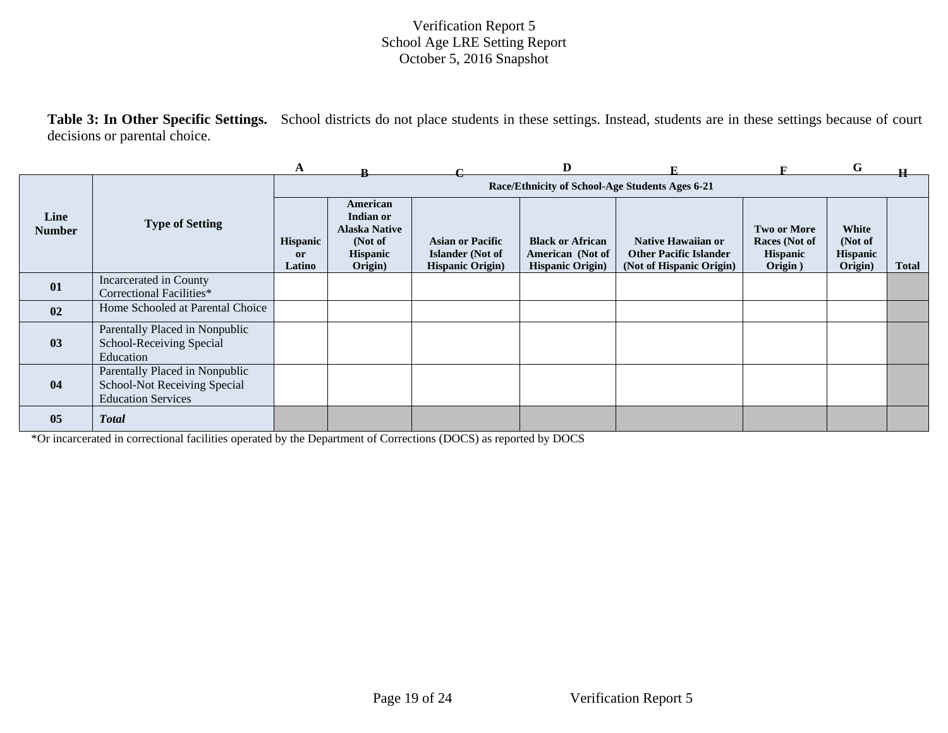**Table 3: In Other Specific Settings.** School districts do not place students in these settings. Instead, students are in these settings because of court decisions or parental choice.

|                       |                                                                                             | A                                          |                                                                                        |                                                                                | D                                                                      |                                                                                        |                                                                   | G                                              |              |
|-----------------------|---------------------------------------------------------------------------------------------|--------------------------------------------|----------------------------------------------------------------------------------------|--------------------------------------------------------------------------------|------------------------------------------------------------------------|----------------------------------------------------------------------------------------|-------------------------------------------------------------------|------------------------------------------------|--------------|
|                       |                                                                                             |                                            |                                                                                        |                                                                                |                                                                        | Race/Ethnicity of School-Age Students Ages 6-21                                        |                                                                   |                                                |              |
| Line<br><b>Number</b> | <b>Type of Setting</b>                                                                      | <b>Hispanic</b><br><sub>or</sub><br>Latino | American<br>Indian or<br><b>Alaska Native</b><br>(Not of<br><b>Hispanic</b><br>Origin) | <b>Asian or Pacific</b><br><b>Islander</b> (Not of<br><b>Hispanic Origin</b> ) | <b>Black or African</b><br>American (Not of<br><b>Hispanic Origin)</b> | <b>Native Hawaiian or</b><br><b>Other Pacific Islander</b><br>(Not of Hispanic Origin) | <b>Two or More</b><br>Races (Not of<br><b>Hispanic</b><br>Origin) | White<br>(Not of<br><b>Hispanic</b><br>Origin) | <b>Total</b> |
| 01                    | Incarcerated in County<br>Correctional Facilities*                                          |                                            |                                                                                        |                                                                                |                                                                        |                                                                                        |                                                                   |                                                |              |
| 02                    | Home Schooled at Parental Choice                                                            |                                            |                                                                                        |                                                                                |                                                                        |                                                                                        |                                                                   |                                                |              |
| 03                    | Parentally Placed in Nonpublic<br>School-Receiving Special<br>Education                     |                                            |                                                                                        |                                                                                |                                                                        |                                                                                        |                                                                   |                                                |              |
| 04                    | Parentally Placed in Nonpublic<br>School-Not Receiving Special<br><b>Education Services</b> |                                            |                                                                                        |                                                                                |                                                                        |                                                                                        |                                                                   |                                                |              |
| 05                    | <b>Total</b>                                                                                |                                            |                                                                                        |                                                                                |                                                                        |                                                                                        |                                                                   |                                                |              |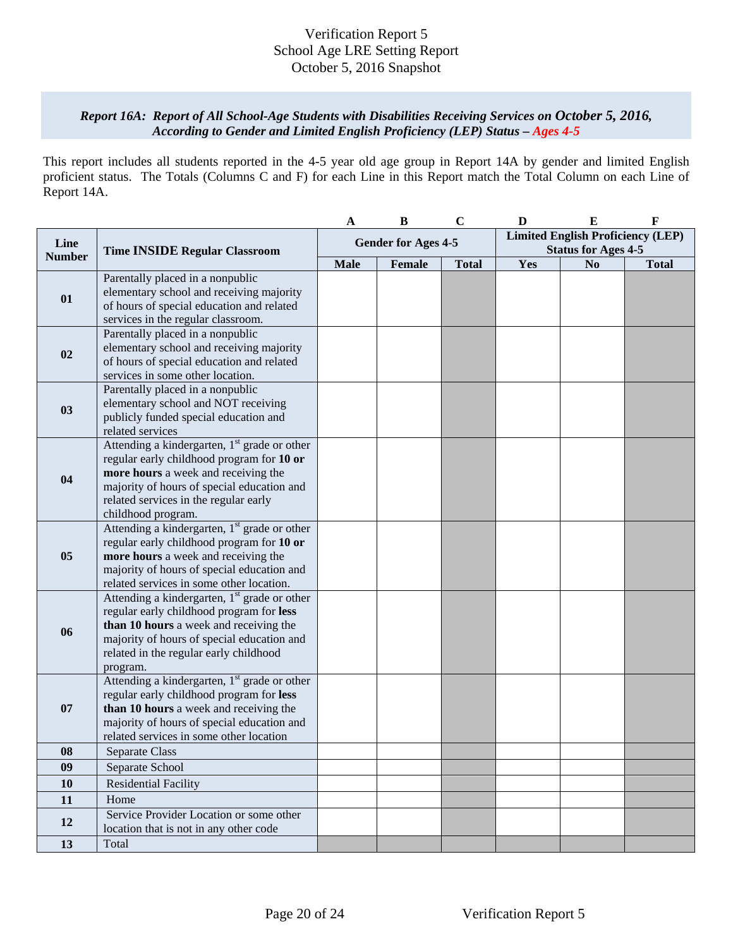### *Report 16A: Report of All School-Age Students with Disabilities Receiving Services on October 5, 2016, According to Gender and Limited English Proficiency (LEP) Status – Ages 4-5*

This report includes all students reported in the 4-5 year old age group in Report 14A by gender and limited English proficient status. The Totals (Columns C and F) for each Line in this Report match the Total Column on each Line of Report 14A.

|               |                                                                                                                                                                                                                                                           | A                          | $\bf{B}$ | $\mathbf C$  | D                                                                      | ${\bf E}$      | $\mathbf F$  |
|---------------|-----------------------------------------------------------------------------------------------------------------------------------------------------------------------------------------------------------------------------------------------------------|----------------------------|----------|--------------|------------------------------------------------------------------------|----------------|--------------|
| Line          | <b>Time INSIDE Regular Classroom</b>                                                                                                                                                                                                                      | <b>Gender for Ages 4-5</b> |          |              | <b>Limited English Proficiency (LEP)</b><br><b>Status for Ages 4-5</b> |                |              |
| <b>Number</b> |                                                                                                                                                                                                                                                           | <b>Male</b>                | Female   | <b>Total</b> | Yes                                                                    | N <sub>0</sub> | <b>Total</b> |
| 01            | Parentally placed in a nonpublic<br>elementary school and receiving majority<br>of hours of special education and related<br>services in the regular classroom.                                                                                           |                            |          |              |                                                                        |                |              |
| 02            | Parentally placed in a nonpublic<br>elementary school and receiving majority<br>of hours of special education and related<br>services in some other location.                                                                                             |                            |          |              |                                                                        |                |              |
| 03            | Parentally placed in a nonpublic<br>elementary school and NOT receiving<br>publicly funded special education and<br>related services                                                                                                                      |                            |          |              |                                                                        |                |              |
| 04            | Attending a kindergarten, 1 <sup>st</sup> grade or other<br>regular early childhood program for 10 or<br>more hours a week and receiving the<br>majority of hours of special education and<br>related services in the regular early<br>childhood program. |                            |          |              |                                                                        |                |              |
| 05            | Attending a kindergarten, 1 <sup>st</sup> grade or other<br>regular early childhood program for 10 or<br>more hours a week and receiving the<br>majority of hours of special education and<br>related services in some other location.                    |                            |          |              |                                                                        |                |              |
| 06            | Attending a kindergarten, 1 <sup>st</sup> grade or other<br>regular early childhood program for less<br>than 10 hours a week and receiving the<br>majority of hours of special education and<br>related in the regular early childhood<br>program.        |                            |          |              |                                                                        |                |              |
| 07            | Attending a kindergarten, $1st$ grade or other<br>regular early childhood program for less<br>than 10 hours a week and receiving the<br>majority of hours of special education and<br>related services in some other location                             |                            |          |              |                                                                        |                |              |
| 08            | Separate Class                                                                                                                                                                                                                                            |                            |          |              |                                                                        |                |              |
| 09            | Separate School                                                                                                                                                                                                                                           |                            |          |              |                                                                        |                |              |
| 10            | <b>Residential Facility</b>                                                                                                                                                                                                                               |                            |          |              |                                                                        |                |              |
| 11            | Home                                                                                                                                                                                                                                                      |                            |          |              |                                                                        |                |              |
| 12            | Service Provider Location or some other<br>location that is not in any other code                                                                                                                                                                         |                            |          |              |                                                                        |                |              |
| 13            | Total                                                                                                                                                                                                                                                     |                            |          |              |                                                                        |                |              |